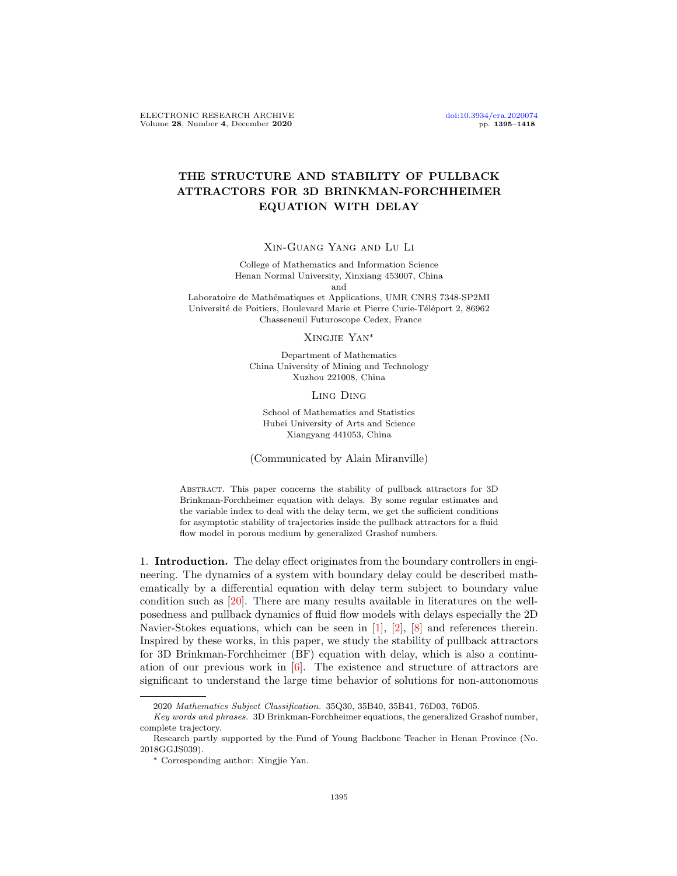# THE STRUCTURE AND STABILITY OF PULLBACK ATTRACTORS FOR 3D BRINKMAN-FORCHHEIMER EQUATION WITH DELAY

Xin-Guang Yang and Lu Li

College of Mathematics and Information Science Henan Normal University, Xinxiang 453007, China

and

Laboratoire de Mathématiques et Applications, UMR CNRS 7348-SP2MI Université de Poitiers, Boulevard Marie et Pierre Curie-Téléport 2, 86962 Chasseneuil Futuroscope Cedex, France

Xingjie Yan<sup>∗</sup>

Department of Mathematics China University of Mining and Technology Xuzhou 221008, China

Ling Ding

School of Mathematics and Statistics Hubei University of Arts and Science Xiangyang 441053, China

(Communicated by Alain Miranville)

Abstract. This paper concerns the stability of pullback attractors for 3D Brinkman-Forchheimer equation with delays. By some regular estimates and the variable index to deal with the delay term, we get the sufficient conditions for asymptotic stability of trajectories inside the pullback attractors for a fluid flow model in porous medium by generalized Grashof numbers.

1. Introduction. The delay effect originates from the boundary controllers in engineering. The dynamics of a system with boundary delay could be described mathematically by a differential equation with delay term subject to boundary value condition such as [\[20\]](#page-23-0). There are many results available in literatures on the wellposedness and pullback dynamics of fluid flow models with delays especially the 2D Navier-Stokes equations, which can be seen in [\[1\]](#page-22-0), [\[2\]](#page-22-1), [\[8\]](#page-22-2) and references therein. Inspired by these works, in this paper, we study the stability of pullback attractors for 3D Brinkman-Forchheimer (BF) equation with delay, which is also a continuation of our previous work in [\[6\]](#page-22-3). The existence and structure of attractors are significant to understand the large time behavior of solutions for non-autonomous

<sup>2020</sup> Mathematics Subject Classification. 35Q30, 35B40, 35B41, 76D03, 76D05.

Key words and phrases. 3D Brinkman-Forchheimer equations, the generalized Grashof number, complete trajectory.

Research partly supported by the Fund of Young Backbone Teacher in Henan Province (No. 2018GGJS039).

<sup>∗</sup> Corresponding author: Xingjie Yan.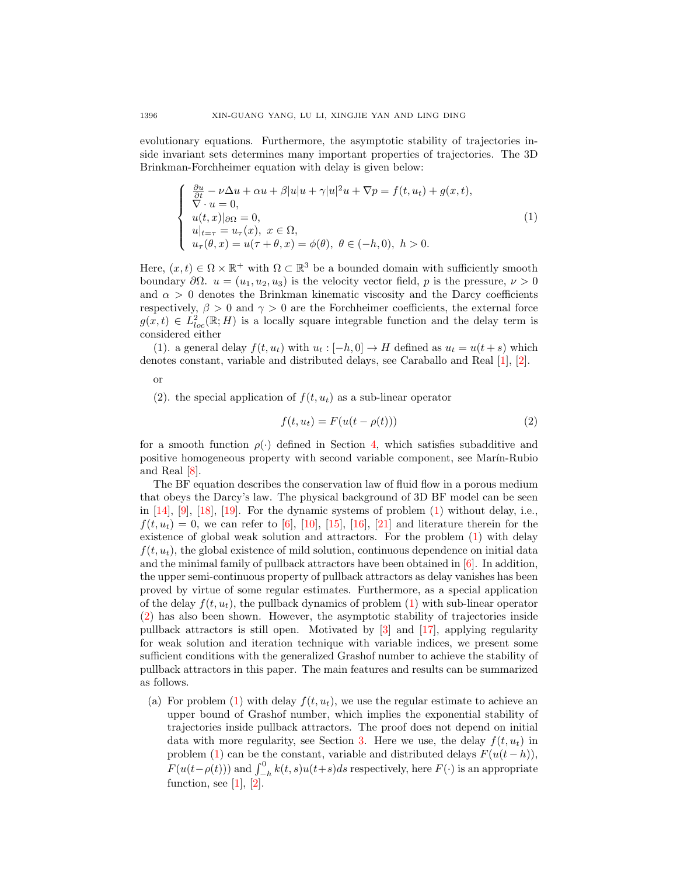evolutionary equations. Furthermore, the asymptotic stability of trajectories inside invariant sets determines many important properties of trajectories. The 3D Brinkman-Forchheimer equation with delay is given below:

<span id="page-1-0"></span>
$$
\begin{cases}\n\frac{\partial u}{\partial t} - \nu \Delta u + \alpha u + \beta |u| u + \gamma |u|^2 u + \nabla p = f(t, u_t) + g(x, t), \\
\nabla \cdot u = 0, \\
u(t, x)|_{\partial \Omega} = 0, \\
u|_{t=\tau} = u_{\tau}(x), \ x \in \Omega, \\
u_{\tau}(\theta, x) = u(\tau + \theta, x) = \phi(\theta), \ \theta \in (-h, 0), \ h > 0.\n\end{cases}
$$
\n(1)

Here,  $(x,t) \in \Omega \times \mathbb{R}^+$  with  $\Omega \subset \mathbb{R}^3$  be a bounded domain with sufficiently smooth boundary  $\partial \Omega$ .  $u = (u_1, u_2, u_3)$  is the velocity vector field, p is the pressure,  $\nu > 0$ and  $\alpha > 0$  denotes the Brinkman kinematic viscosity and the Darcy coefficients respectively,  $\beta > 0$  and  $\gamma > 0$  are the Forchheimer coefficients, the external force  $g(x,t) \in L^2_{loc}(\mathbb{R};H)$  is a locally square integrable function and the delay term is considered either

(1). a general delay  $f(t, u_t)$  with  $u_t : [-h, 0] \to H$  defined as  $u_t = u(t + s)$  which denotes constant, variable and distributed delays, see Caraballo and Real [\[1\]](#page-22-0), [\[2\]](#page-22-1).

or

(2). the special application of  $f(t, u_t)$  as a sub-linear operator

<span id="page-1-1"></span>
$$
f(t, u_t) = F(u(t - \rho(t)))
$$
\n(2)

for a smooth function  $\rho(\cdot)$  defined in Section [4,](#page-16-0) which satisfies subadditive and positive homogeneous property with second variable component, see Mar´ın-Rubio and Real [\[8\]](#page-22-2).

The BF equation describes the conservation law of fluid flow in a porous medium that obeys the Darcy's law. The physical background of 3D BF model can be seen in  $[14]$ ,  $[9]$ ,  $[18]$ ,  $[19]$ . For the dynamic systems of problem  $(1)$  without delay, i.e.,  $f(t, u_t) = 0$ , we can refer to [\[6\]](#page-22-3), [\[10\]](#page-22-6), [\[15\]](#page-22-7), [\[16\]](#page-23-3), [\[21\]](#page-23-4) and literature therein for the existence of global weak solution and attractors. For the problem [\(1\)](#page-1-0) with delay  $f(t, u_t)$ , the global existence of mild solution, continuous dependence on initial data and the minimal family of pullback attractors have been obtained in [\[6\]](#page-22-3). In addition, the upper semi-continuous property of pullback attractors as delay vanishes has been proved by virtue of some regular estimates. Furthermore, as a special application of the delay  $f(t, u_t)$ , the pullback dynamics of problem [\(1\)](#page-1-0) with sub-linear operator [\(2\)](#page-1-1) has also been shown. However, the asymptotic stability of trajectories inside pullback attractors is still open. Motivated by [\[3\]](#page-22-8) and [\[17\]](#page-23-5), applying regularity for weak solution and iteration technique with variable indices, we present some sufficient conditions with the generalized Grashof number to achieve the stability of pullback attractors in this paper. The main features and results can be summarized as follows.

(a) For problem [\(1\)](#page-1-0) with delay  $f(t, u_t)$ , we use the regular estimate to achieve an upper bound of Grashof number, which implies the exponential stability of trajectories inside pullback attractors. The proof does not depend on initial data with more regularity, see Section [3.](#page-2-0) Here we use, the delay  $f(t, u_t)$  in problem [\(1\)](#page-1-0) can be the constant, variable and distributed delays  $F(u(t-h))$ ,  $F(u(t-\rho(t)))$  and  $\int_{-h}^{0} k(t,s)u(t+s)ds$  respectively, here  $F(\cdot)$  is an appropriate function, see  $[1]$ ,  $[2]$ .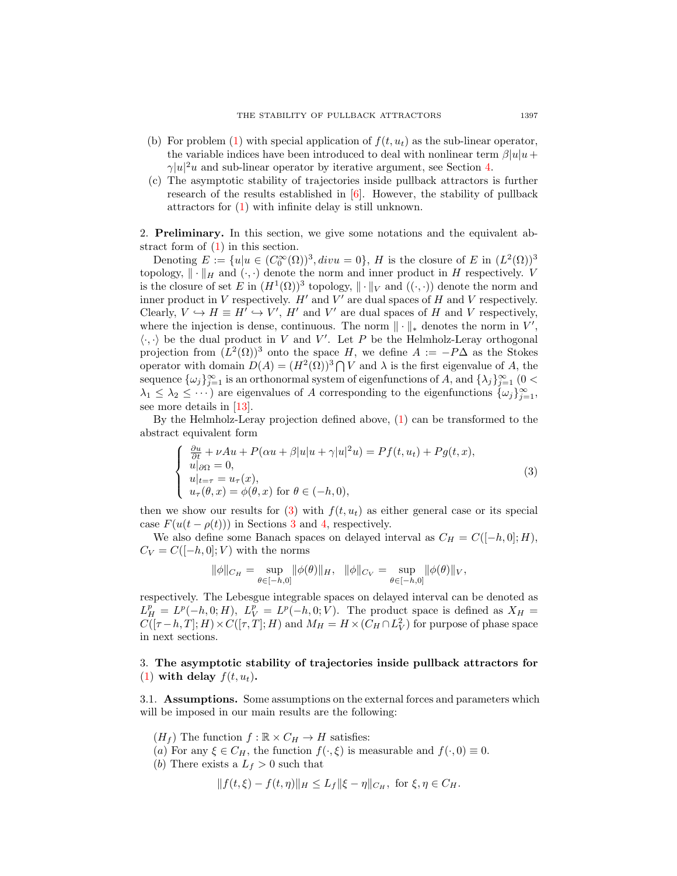- (b) For problem [\(1\)](#page-1-0) with special application of  $f(t, u_t)$  as the sub-linear operator, the variable indices have been introduced to deal with nonlinear term  $\beta|u|u+$  $\gamma |u|^2u$  and sub-linear operator by iterative argument, see Section [4.](#page-16-0)
- (c) The asymptotic stability of trajectories inside pullback attractors is further research of the results established in [\[6\]](#page-22-3). However, the stability of pullback attractors for [\(1\)](#page-1-0) with infinite delay is still unknown.

2. Preliminary. In this section, we give some notations and the equivalent abstract form of [\(1\)](#page-1-0) in this section.

Denoting  $E := \{u | u \in (C_0^{\infty}(\Omega))^3, divu = 0\}, H$  is the closure of E in  $(L^2(\Omega))^3$ topology,  $\|\cdot\|_H$  and  $(\cdot, \cdot)$  denote the norm and inner product in H respectively. V is the closure of set E in  $(H^1(\Omega))^3$  topology,  $\|\cdot\|_V$  and  $((\cdot,\cdot))$  denote the norm and inner product in V respectively.  $H'$  and  $V'$  are dual spaces of H and V respectively. Clearly,  $V \hookrightarrow H \equiv H' \hookrightarrow V'$ ,  $H'$  and  $V'$  are dual spaces of H and V respectively, where the injection is dense, continuous. The norm  $\|\cdot\|_*$  denotes the norm in  $V'$ ,  $\langle \cdot, \cdot \rangle$  be the dual product in V and V'. Let P be the Helmholz-Leray orthogonal projection from  $(L^2(\Omega))^3$  onto the space H, we define  $A := -P\Delta$  as the Stokes operator with domain  $D(A) = (H^2(\Omega))^3 \bigcap V$  and  $\lambda$  is the first eigenvalue of A, the sequence  $\{\omega_j\}_{j=1}^{\infty}$  is an orthonormal system of eigenfunctions of A, and  $\{\lambda_j\}_{j=1}^{\infty}$  (0 <  $\lambda_1 \leq \lambda_2 \leq \cdots$ ) are eigenvalues of A corresponding to the eigenfunctions  $\{\omega_j\}_{j=1}^{\infty}$ , see more details in [\[13\]](#page-22-9).

By the Helmholz-Leray projection defined above, [\(1\)](#page-1-0) can be transformed to the abstract equivalent form

<span id="page-2-1"></span>
$$
\begin{cases}\n\frac{\partial u}{\partial t} + \nu A u + P(\alpha u + \beta |u|u + \gamma |u|^2 u) = Pf(t, u_t) + Pg(t, x), \\
u|_{\partial \Omega} = 0, \\
u|_{t=\tau} = u_\tau(x), \\
u_\tau(\theta, x) = \phi(\theta, x) \text{ for } \theta \in (-h, 0),\n\end{cases}
$$
\n(3)

then we show our results for [\(3\)](#page-2-1) with  $f(t, u_t)$  as either general case or its special case  $F(u(t - \rho(t)))$  in Sections [3](#page-2-0) and [4,](#page-16-0) respectively.

We also define some Banach spaces on delayed interval as  $C_H = C([-h, 0]; H)$ ,  $C_V = C([-h, 0]; V)$  with the norms

$$
\|\phi\|_{C_H} = \sup_{\theta \in [-h,0]} \|\phi(\theta)\|_H, \ \ \|\phi\|_{C_V} = \sup_{\theta \in [-h,0]} \|\phi(\theta)\|_V,
$$

respectively. The Lebesgue integrable spaces on delayed interval can be denoted as  $L_H^p = L^p(-h, 0; H)$ ,  $L_V^p = L^p(-h, 0; V)$ . The product space is defined as  $X_H =$  $C([\tau-h,T];H)\times C([\tau,T];H)$  and  $M_H=H\times (C_H\cap L^2_V)$  for purpose of phase space in next sections.

## <span id="page-2-0"></span>3. The asymptotic stability of trajectories inside pullback attractors for [\(1\)](#page-1-0) with delay  $f(t, u_t)$ .

3.1. Assumptions. Some assumptions on the external forces and parameters which will be imposed in our main results are the following:

 $(H_f)$  The function  $f : \mathbb{R} \times C_H \to H$  satisfies:

- (a) For any  $\xi \in C_H$ , the function  $f(\cdot,\xi)$  is measurable and  $f(\cdot,0) \equiv 0$ .
- (b) There exists a  $L_f > 0$  such that

$$
|| f(t,\xi) - f(t,\eta)||_H \leq L_f ||\xi - \eta||_{C_H}, \text{ for } \xi, \eta \in C_H.
$$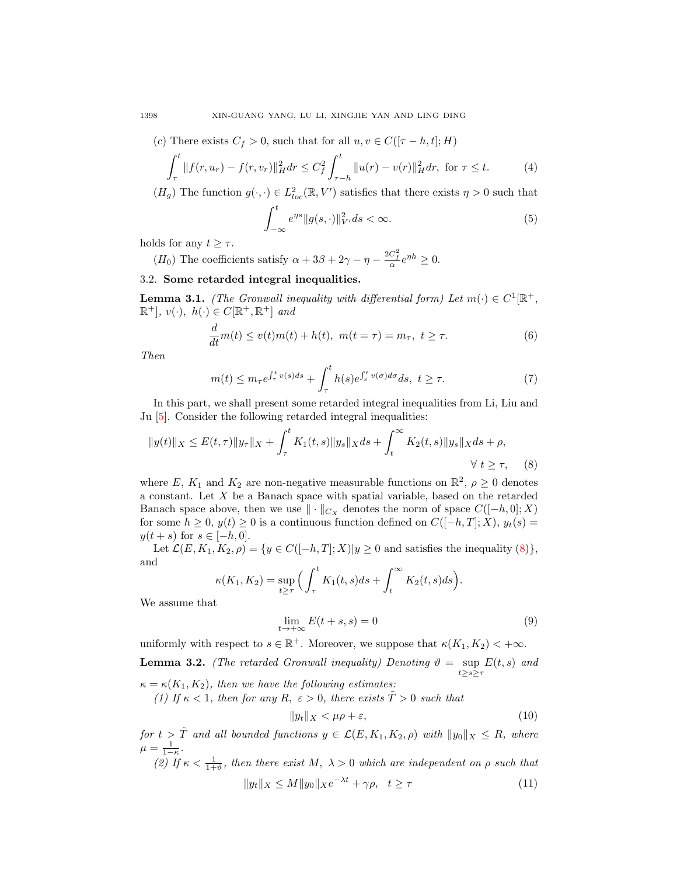1398 XIN-GUANG YANG, LU LI, XINGJIE YAN AND LING DING

(c) There exists 
$$
C_f > 0
$$
, such that for all  $u, v \in C([\tau - h, t]; H)$ 

$$
\int_{\tau}^{t} \|f(r, u_r) - f(r, v_r)\|_{H}^{2} dr \leq C_f^2 \int_{\tau - h}^{t} \|u(r) - v(r)\|_{H}^{2} dr, \text{ for } \tau \leq t.
$$
 (4)

 $(H_g)$  The function  $g(\cdot, \cdot) \in L^2_{loc}(\mathbb{R}, V')$  satisfies that there exists  $\eta > 0$  such that

$$
\int_{-\infty}^{t} e^{\eta s} \|g(s, \cdot)\|_{V'}^2 ds < \infty.
$$
 (5)

holds for any  $t \geq \tau$ .

(H<sub>0</sub>) The coefficients satisfy  $\alpha + 3\beta + 2\gamma - \eta - \frac{2C_f^2}{\alpha}e^{\eta h} \ge 0$ .

# 3.2. Some retarded integral inequalities.

<span id="page-3-2"></span>**Lemma 3.1.** (The Gronwall inequality with differential form) Let  $m(\cdot) \in C^1[\mathbb{R}^+,$  $\mathbb{R}^+$ ,  $v(\cdot)$ ,  $h(\cdot) \in C[\mathbb{R}^+, \mathbb{R}^+]$  and

$$
\frac{d}{dt}m(t) \le v(t)m(t) + h(t), \ m(t = \tau) = m_{\tau}, \ t \ge \tau.
$$
\n
$$
(6)
$$

Then

$$
m(t) \le m_{\tau} e^{\int_{\tau}^{t} v(s)ds} + \int_{\tau}^{t} h(s) e^{\int_{s}^{t} v(\sigma)d\sigma} ds, \ t \ge \tau. \tag{7}
$$

In this part, we shall present some retarded integral inequalities from Li, Liu and Ju [\[5\]](#page-22-10). Consider the following retarded integral inequalities:

<span id="page-3-0"></span>
$$
||y(t)||_X \le E(t,\tau)||y_\tau||_X + \int_{\tau}^t K_1(t,s)||y_s||_X ds + \int_t^{\infty} K_2(t,s)||y_s||_X ds + \rho,
$$
  
  $\forall t \ge \tau,$  (8)

where E,  $K_1$  and  $K_2$  are non-negative measurable functions on  $\mathbb{R}^2$ ,  $\rho \geq 0$  denotes a constant. Let X be a Banach space with spatial variable, based on the retarded Banach space above, then we use  $\|\cdot\|_{C_X}$  denotes the norm of space  $C([-h, 0]; X)$ for some  $h \geq 0$ ,  $y(t) \geq 0$  is a continuous function defined on  $C([-h,T];X)$ ,  $y_t(s)$  $y(t + s)$  for  $s \in [-h, 0].$ 

Let  $\mathcal{L}(E, K_1, K_2, \rho) = \{y \in C([-h, T]; X)| y \ge 0 \text{ and satisfies the inequality } (8)\},\$  $\mathcal{L}(E, K_1, K_2, \rho) = \{y \in C([-h, T]; X)| y \ge 0 \text{ and satisfies the inequality } (8)\},\$  $\mathcal{L}(E, K_1, K_2, \rho) = \{y \in C([-h, T]; X)| y \ge 0 \text{ and satisfies the inequality } (8)\},\$ and

$$
\kappa(K_1, K_2) = \sup_{t \ge \tau} \Big( \int_{\tau}^t K_1(t, s) ds + \int_t^{\infty} K_2(t, s) ds \Big).
$$

We assume that

$$
\lim_{t \to +\infty} E(t+s, s) = 0 \tag{9}
$$

<span id="page-3-1"></span>uniformly with respect to  $s \in \mathbb{R}^+$ . Moreover, we suppose that  $\kappa(K_1, K_2) < +\infty$ . **Lemma 3.2.** (The retarded Gronwall inequality) Denoting  $\vartheta = \sup_{t \ge s \ge \tau} E(t, s)$  and  $\kappa = \kappa(K_1, K_2)$ , then we have the following estimates: (1) If  $\kappa$  < 1, then for any R,  $\varepsilon > 0$ , there exists  $T > 0$  such that

$$
||y_t||_X < \mu \rho + \varepsilon,\tag{10}
$$

for  $t > \tilde{T}$  and all bounded functions  $y \in \mathcal{L}(E, K_1, K_2, \rho)$  with  $||y_0||_X \leq R$ , where  $\mu = \frac{1}{1-\kappa}.$ 

(2) If  $\kappa < \frac{1}{1+\vartheta}$ , then there exist M,  $\lambda > 0$  which are independent on  $\rho$  such that  $||y_t||_X \le M||y_0||_Xe^{-\lambda t} + \gamma \rho, \quad t \ge \tau$  (11)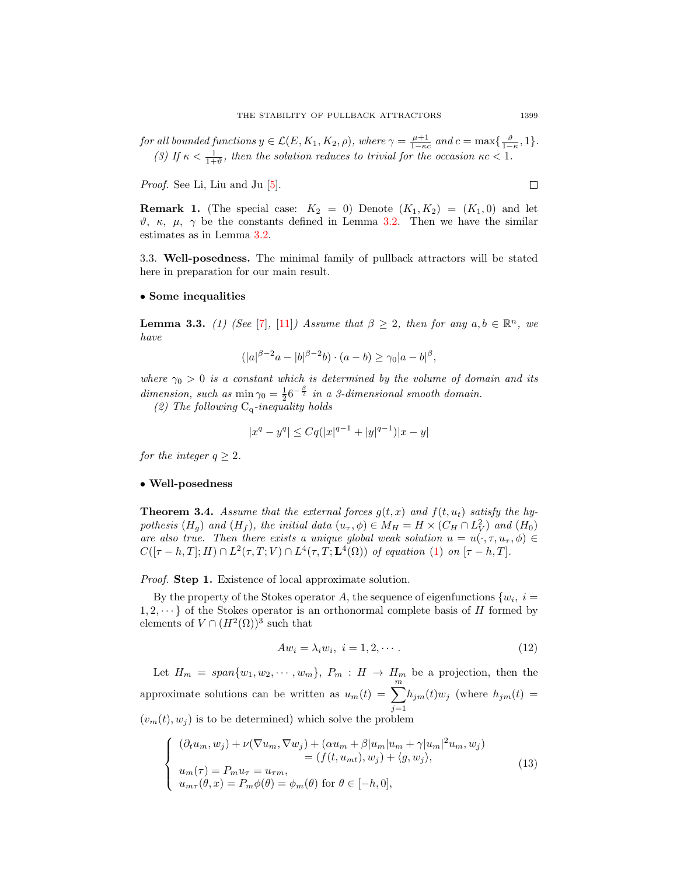for all bounded functions  $y \in \mathcal{L}(E, K_1, K_2, \rho)$ , where  $\gamma = \frac{\mu+1}{1-\kappa c}$  and  $c = \max\{\frac{\vartheta}{1-\kappa}, 1\}$ . (3) If  $\kappa < \frac{1}{1+\vartheta}$ , then the solution reduces to trivial for the occasion  $\kappa c < 1$ .

Proof. See Li, Liu and Ju [\[5\]](#page-22-10).

 $\Box$ 

**Remark 1.** (The special case:  $K_2 = 0$ ) Denote  $(K_1, K_2) = (K_1, 0)$  and let  $\vartheta$ , κ, μ, γ be the constants defined in Lemma [3.2.](#page-3-1) Then we have the similar estimates as in Lemma [3.2.](#page-3-1)

<span id="page-4-3"></span>3.3. Well-posedness. The minimal family of pullback attractors will be stated here in preparation for our main result.

#### • Some inequalities

<span id="page-4-2"></span>**Lemma 3.3.** (1) (See [\[7\]](#page-22-11), [\[11\]](#page-22-12)) Assume that  $\beta \geq 2$ , then for any  $a, b \in \mathbb{R}^n$ , we have

$$
(|a|^{\beta-2}a-|b|^{\beta-2}b)\cdot (a-b)\geq \gamma_0|a-b|^{\beta},
$$

where  $\gamma_0 > 0$  is a constant which is determined by the volume of domain and its dimension, such as  $\min \gamma_0 = \frac{1}{2} 6^{-\frac{\beta}{2}}$  in a 3-dimensional smooth domain.

(2) The following  $C_q$ -inequality holds

$$
|x^{q} - y^{q}| \leq Cq(|x|^{q-1} + |y|^{q-1})|x - y|
$$

for the integer  $q \geq 2$ .

#### • Well-posedness

<span id="page-4-1"></span>**Theorem 3.4.** Assume that the external forces  $q(t, x)$  and  $f(t, u_t)$  satisfy the hypothesis  $(H_g)$  and  $(H_f)$ , the initial data  $(u_\tau, \phi) \in M_H = H \times (C_H \cap L_V^2)$  and  $(H_0)$ are also true. Then there exists a unique global weak solution  $u = u(\cdot, \tau, u_\tau, \phi) \in$  $C([\tau-h,T];H)\cap L^2(\tau,T;V)\cap L^4(\tau,T;\mathbf{L}^4(\Omega))$  of equation [\(1\)](#page-1-0) on  $[\tau-h,T]$ .

Proof. Step 1. Existence of local approximate solution.

By the property of the Stokes operator A, the sequence of eigenfunctions  $\{w_i, i =$  $1, 2, \dots$  of the Stokes operator is an orthonormal complete basis of H formed by elements of  $V \cap (H^2(\Omega))^3$  such that

$$
Aw_i = \lambda_i w_i, \ i = 1, 2, \cdots.
$$
\n<sup>(12)</sup>

Let  $H_m = span{w_1, w_2, \cdots, w_m}$ ,  $P_m : H \to H_m$  be a projection, then the approximate solutions can be written as  $u_m(t) = \sum_{m=1}^{m}$  $j=1$  $h_{jm}(t)w_j$  (where  $h_{jm}(t)$  =  $(v_m(t), w_i)$  is to be determined) which solve the problem

<span id="page-4-0"></span>
$$
\begin{cases}\n(\partial_t u_m, w_j) + \nu (\nabla u_m, \nabla w_j) + (\alpha u_m + \beta |u_m|u_m + \gamma |u_m|^2 u_m, w_j) \\
= (f(t, u_{mt}), w_j) + \langle g, w_j \rangle, \\
u_m(\tau) = P_m u_\tau = u_{\tau m}, \\
u_{m\tau}(\theta, x) = P_m \phi(\theta) = \phi_m(\theta) \text{ for } \theta \in [-h, 0],\n\end{cases}
$$
\n(13)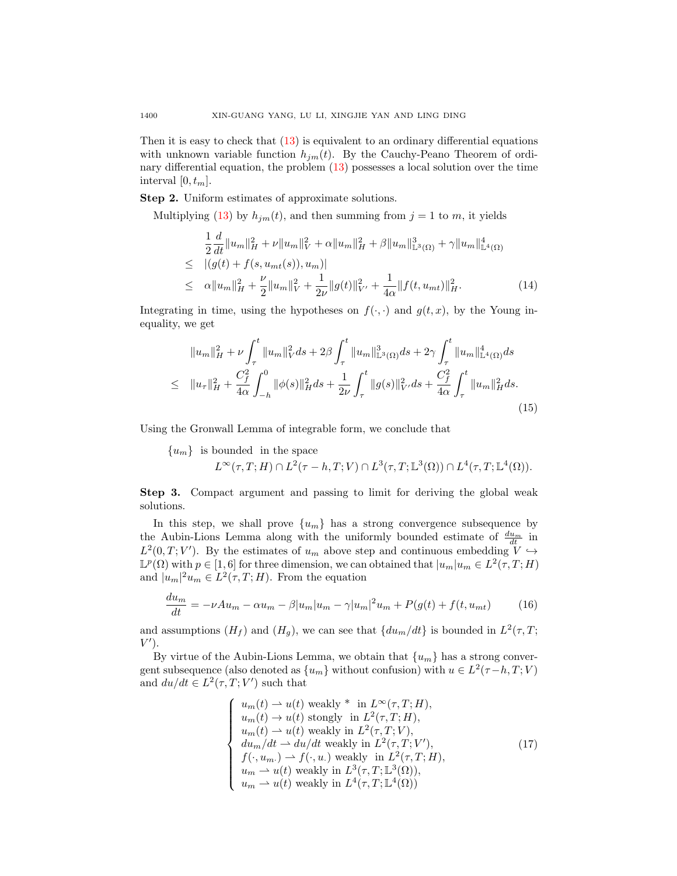Then it is easy to check that [\(13\)](#page-4-0) is equivalent to an ordinary differential equations with unknown variable function  $h_{jm}(t)$ . By the Cauchy-Peano Theorem of ordinary differential equation, the problem [\(13\)](#page-4-0) possesses a local solution over the time interval  $[0, t_m]$ .

Step 2. Uniform estimates of approximate solutions.

Multiplying [\(13\)](#page-4-0) by  $h_{jm}(t)$ , and then summing from  $j = 1$  to m, it yields

$$
\frac{1}{2}\frac{d}{dt}\|u_m\|_{H}^{2} + \nu\|u_m\|_{V}^{2} + \alpha\|u_m\|_{H}^{2} + \beta\|u_m\|_{L^{3}(\Omega)}^{3} + \gamma\|u_m\|_{L^{4}(\Omega)}^{4}
$$
\n
$$
\leq |(g(t) + f(s, u_{mt}(s)), u_m)|
$$
\n
$$
\leq \alpha\|u_m\|_{H}^{2} + \frac{\nu}{2}\|u_m\|_{V}^{2} + \frac{1}{2\nu}\|g(t)\|_{V'}^{2} + \frac{1}{4\alpha}\|f(t, u_{mt})\|_{H}^{2}.
$$
\n(14)

Integrating in time, using the hypotheses on  $f(\cdot, \cdot)$  and  $g(t, x)$ , by the Young inequality, we get

$$
||u_m||_H^2 + \nu \int_\tau^t ||u_m||_V^2 ds + 2\beta \int_\tau^t ||u_m||_{\mathbb{L}^3(\Omega)}^3 ds + 2\gamma \int_\tau^t ||u_m||_{\mathbb{L}^4(\Omega)}^4 ds
$$
  
\n
$$
\leq ||u_\tau||_H^2 + \frac{C_f^2}{4\alpha} \int_{-h}^0 ||\phi(s)||_H^2 ds + \frac{1}{2\nu} \int_\tau^t ||g(s)||_{V'}^2 ds + \frac{C_f^2}{4\alpha} \int_\tau^t ||u_m||_H^2 ds.
$$
\n(15)

Using the Gronwall Lemma of integrable form, we conclude that

 ${u<sub>m</sub>}$  is bounded in the space

$$
L^{\infty}(\tau, T; H) \cap L^{2}(\tau - h, T; V) \cap L^{3}(\tau, T; \mathbb{L}^{3}(\Omega)) \cap L^{4}(\tau, T; \mathbb{L}^{4}(\Omega)).
$$

Step 3. Compact argument and passing to limit for deriving the global weak solutions.

In this step, we shall prove  $\{u_m\}$  has a strong convergence subsequence by the Aubin-Lions Lemma along with the uniformly bounded estimate of  $\frac{du_m}{dt}$  in  $L^2(0,T;V')$ . By the estimates of  $u_m$  above step and continuous embedding  $V \hookrightarrow$  $\mathbb{L}^p(\Omega)$  with  $p \in [1,6]$  for three dimension, we can obtained that  $|u_m|u_m \in L^2(\tau,T;H)$ and  $|u_m|^2 u_m \in L^2(\tau, T; H)$ . From the equation

$$
\frac{du_m}{dt} = -\nu Au_m - \alpha u_m - \beta |u_m| u_m - \gamma |u_m|^2 u_m + P(g(t) + f(t, u_{mt})) \tag{16}
$$

and assumptions  $(H_f)$  and  $(H_g)$ , we can see that  $\{du_m/dt\}$  is bounded in  $L^2(\tau,T;$  $V^{\prime}$ ).

By virtue of the Aubin-Lions Lemma, we obtain that  ${u<sub>m</sub>}$  has a strong convergent subsequence (also denoted as  $\{u_m\}$  without confusion) with  $u \in L^2(\tau-h, T; V)$ and  $du/dt \in L^2(\tau, T; V')$  such that

$$
\begin{cases}\nu_m(t) \to u(t) \text{ weakly}^* \text{ in } L^{\infty}(\tau, T; H), \nu_m(t) \to u(t) \text{ strongly in } L^2(\tau, T; H), \nu_m(t) \to u(t) \text{ weakly in } L^2(\tau, T; V), \ndu_m/dt \to du/dt \text{ weakly in } L^2(\tau, T; V'), \nf(\cdot, u_m.) \to f(\cdot, u.) \text{ weakly in } L^2(\tau, T; H), \nu_m \to u(t) \text{ weakly in } L^3(\tau, T; \mathbb{L}^3(\Omega)), \nu_m \to u(t) \text{ weakly in } L^4(\tau, T; \mathbb{L}^4(\Omega))\n\end{cases}
$$
\n(17)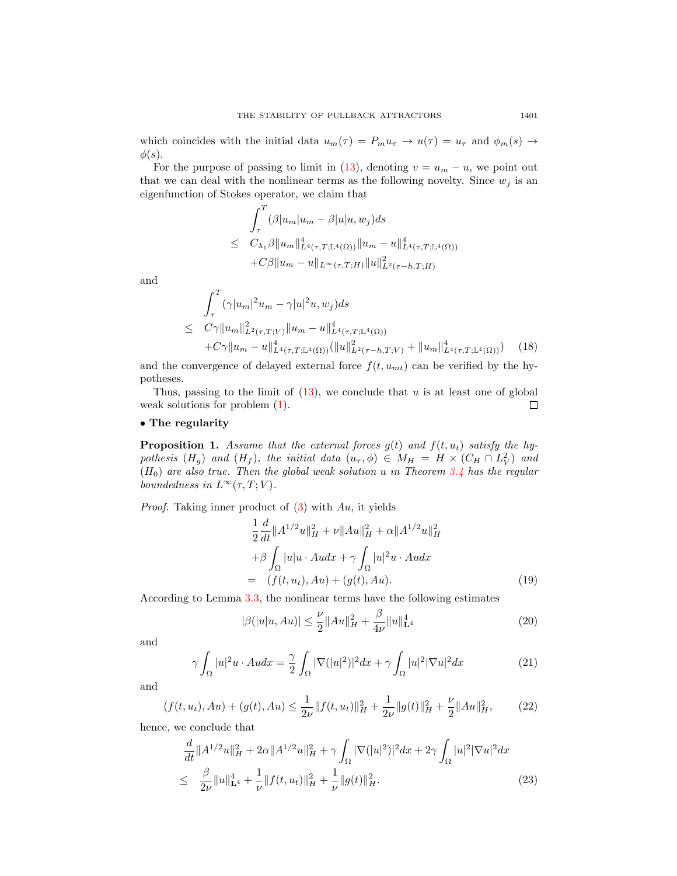which coincides with the initial data  $u_m(\tau) = P_m u_\tau \to u(\tau) = u_\tau$  and  $\phi_m(s) \to$  $\phi(s)$ .

For the purpose of passing to limit in [\(13\)](#page-4-0), denoting  $v = u_m - u$ , we point out that we can deal with the nonlinear terms as the following novelty. Since  $w_j$  is an eigenfunction of Stokes operator, we claim that

$$
\int_{\tau}^{T} (\beta |u_m|u_m - \beta |u|u, w_j) ds
$$
  
\n
$$
\leq C_{\lambda_1} \beta \|u_m\|_{L^4(\tau, T; \mathbb{L}^4(\Omega))}^4 \|u_m - u\|_{L^4(\tau, T; \mathbb{L}^4(\Omega))}^4
$$
  
\n
$$
+ C\beta \|u_m - u\|_{L^\infty(\tau, T; H)} \|u\|_{L^2(\tau - h, T; H)}^2
$$

and

$$
\int_{\tau}^{T} (\gamma |u_m|^2 u_m - \gamma |u|^2 u, w_j) ds
$$
\n
$$
\leq C\gamma \|u_m\|_{L^2(\tau, T; V)}^2 \|u_m - u\|_{L^4(\tau, T; \mathbb{L}^4(\Omega))}^4
$$
\n
$$
+C\gamma \|u_m - u\|_{L^4(\tau, T; \mathbb{L}^4(\Omega))}^4 (\|u\|_{L^2(\tau - h, T; V)}^2 + \|u_m\|_{L^4(\tau, T; \mathbb{L}^4(\Omega))}^4) \tag{18}
$$

and the convergence of delayed external force  $f(t, u_{mt})$  can be verified by the hypotheses.

Thus, passing to the limit of  $(13)$ , we conclude that u is at least one of global weak solutions for problem [\(1\)](#page-1-0).  $\Box$ 

### • The regularity

<span id="page-6-1"></span>**Proposition 1.** Assume that the external forces  $g(t)$  and  $f(t, u_t)$  satisfy the hypothesis  $(H_g)$  and  $(H_f)$ , the initial data  $(u_\tau, \phi) \in M_H = H \times (C_H \cap L_V^2)$  and  $(H_0)$  are also true. Then the global weak solution u in Theorem [3.4](#page-4-1) has the regular boundedness in  $L^{\infty}(\tau, T; V)$ .

*Proof.* Taking inner product of  $(3)$  with Au, it yields

$$
\frac{1}{2}\frac{d}{dt}\|A^{1/2}u\|_{H}^{2} + \nu\|Au\|_{H}^{2} + \alpha\|A^{1/2}u\|_{H}^{2} \n+ \beta\int_{\Omega}|u|u \cdot A u dx + \gamma\int_{\Omega}|u|^{2}u \cdot A u dx \n= (f(t, u_{t}), Au) + (g(t), Au).
$$
\n(19)

According to Lemma [3.3,](#page-4-2) the nonlinear terms have the following estimates

$$
|\beta(|u|u, Au)| \leq \frac{\nu}{2} ||Au||_H^2 + \frac{\beta}{4\nu} ||u||_{\mathbf{L}^4}^4
$$
\n(20)

and

$$
\gamma \int_{\Omega} |u|^2 u \cdot A u dx = \frac{\gamma}{2} \int_{\Omega} |\nabla (|u|^2)|^2 dx + \gamma \int_{\Omega} |u|^2 |\nabla u|^2 dx \tag{21}
$$

and

$$
(f(t, u_t), Au) + (g(t), Au) \le \frac{1}{2\nu} \|f(t, u_t)\|_H^2 + \frac{1}{2\nu} \|g(t)\|_H^2 + \frac{\nu}{2} \|Au\|_H^2,
$$
 (22)

hence, we conclude that

<span id="page-6-0"></span>
$$
\frac{d}{dt}||A^{1/2}u||_{H}^{2} + 2\alpha||A^{1/2}u||_{H}^{2} + \gamma \int_{\Omega} |\nabla(|u|^{2})|^{2} dx + 2\gamma \int_{\Omega} |u|^{2}|\nabla u|^{2} dx
$$
\n
$$
\leq \frac{\beta}{2\nu}||u||_{\mathbf{L}^{4}}^{4} + \frac{1}{\nu}||f(t, u_{t})||_{H}^{2} + \frac{1}{\nu}||g(t)||_{H}^{2}.
$$
\n(23)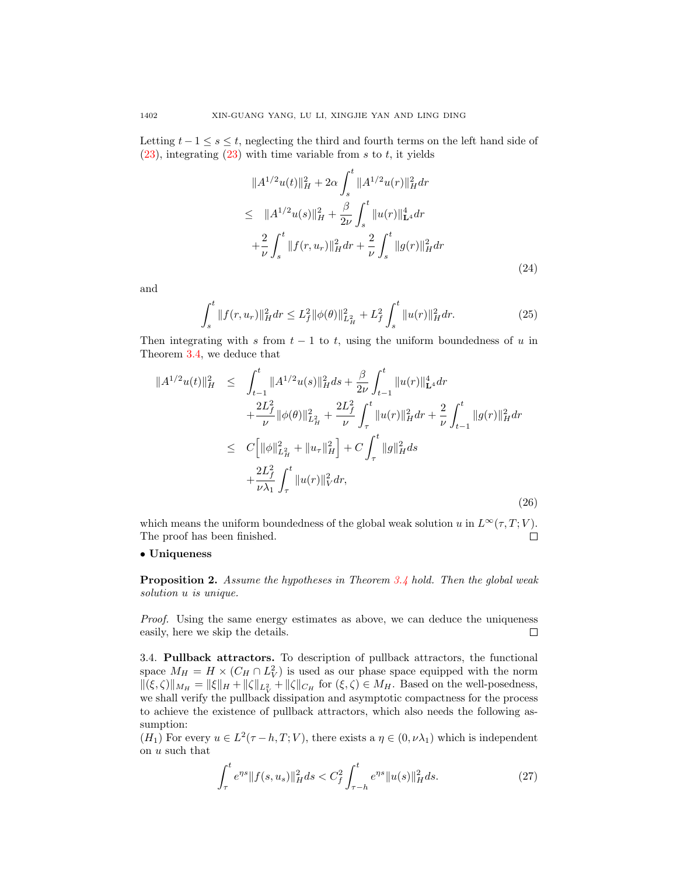Letting  $t - 1 \leq s \leq t$ , neglecting the third and fourth terms on the left hand side of  $(23)$ , integrating  $(23)$  with time variable from s to t, it yields

$$
||A^{1/2}u(t)||_{H}^{2} + 2\alpha \int_{s}^{t} ||A^{1/2}u(r)||_{H}^{2} dr
$$
  
\n
$$
\leq ||A^{1/2}u(s)||_{H}^{2} + \frac{\beta}{2\nu} \int_{s}^{t} ||u(r)||_{L^{4}}^{4} dr
$$
  
\n
$$
+ \frac{2}{\nu} \int_{s}^{t} ||f(r, u_{r})||_{H}^{2} dr + \frac{2}{\nu} \int_{s}^{t} ||g(r)||_{H}^{2} dr
$$
\n(24)

and

$$
\int_{s}^{t} \|f(r, u_r)\|_{H}^{2} dr \le L_{f}^{2} \|\phi(\theta)\|_{L_{H}^{2}}^{2} + L_{f}^{2} \int_{s}^{t} \|u(r)\|_{H}^{2} dr.
$$
 (25)

Then integrating with s from  $t - 1$  to t, using the uniform boundedness of u in Theorem [3.4,](#page-4-1) we deduce that

$$
||A^{1/2}u(t)||_{H}^{2} \leq \int_{t-1}^{t} ||A^{1/2}u(s)||_{H}^{2}ds + \frac{\beta}{2\nu} \int_{t-1}^{t} ||u(r)||_{\mathbf{L}^{4}}^{4}dr + \frac{2L_{f}^{2}}{\nu} ||\phi(\theta)||_{L_{H}^{2}}^{2} + \frac{2L_{f}^{2}}{\nu} \int_{\tau}^{t} ||u(r)||_{H}^{2}dr + \frac{2}{\nu} \int_{t-1}^{t} ||g(r)||_{H}^{2}dr \leq C \Big[ ||\phi||_{L_{H}^{2}}^{2} + ||u_{\tau}||_{H}^{2} \Big] + C \int_{\tau}^{t} ||g||_{H}^{2}ds + \frac{2L_{f}^{2}}{\nu\lambda_{1}} \int_{\tau}^{t} ||u(r)||_{V}^{2}dr,
$$
\n(26)

which means the uniform boundedness of the global weak solution u in  $L^{\infty}(\tau, T; V)$ . The proof has been finished.  $\Box$ 

### • Uniqueness

Proposition 2. Assume the hypotheses in Theorem [3.4](#page-4-1) hold. Then the global weak solution u is unique.

Proof. Using the same energy estimates as above, we can deduce the uniqueness easily, here we skip the details.  $\Box$ 

3.4. Pullback attractors. To description of pullback attractors, the functional space  $M_H = H \times (C_H \cap L_V^2)$  is used as our phase space equipped with the norm  $\|(\xi,\zeta)\|_{M_H} = \|\xi\|_H + \|\zeta\|_{L^2_V} + \|\zeta\|_{C_H}$  for  $(\xi,\zeta) \in M_H$ . Based on the well-posedness, we shall verify the pullback dissipation and asymptotic compactness for the process to achieve the existence of pullback attractors, which also needs the following assumption:

 $(H_1)$  For every  $u \in L^2(\tau - h, T; V)$ , there exists a  $\eta \in (0, \nu \lambda_1)$  which is independent on u such that

$$
\int_{\tau}^{t} e^{\eta s} \| f(s, u_s) \|_{H}^{2} ds < C_f^2 \int_{\tau - h}^{t} e^{\eta s} \| u(s) \|_{H}^{2} ds.
$$
 (27)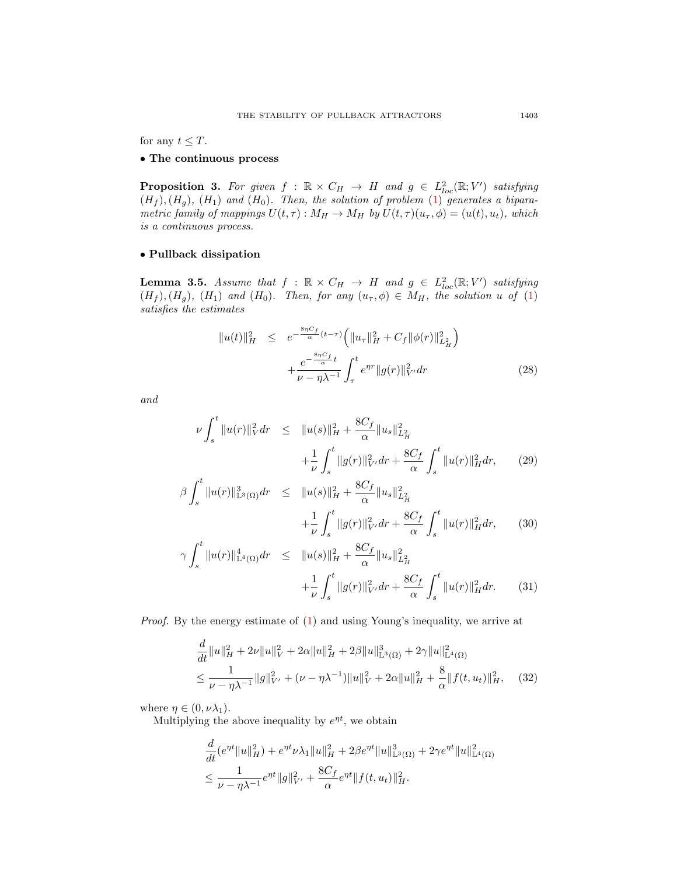for any  $t \leq T$ .

## • The continuous process

<span id="page-8-1"></span>**Proposition 3.** For given  $f : \mathbb{R} \times C_H \rightarrow H$  and  $g \in L^2_{loc}(\mathbb{R}; V')$  satisfying  $(H_f)$ ,  $(H_q)$ ,  $(H_1)$  and  $(H_0)$ . Then, the solution of problem [\(1\)](#page-1-0) generates a biparametric family of mappings  $U(t, \tau) : M_H \to M_H$  by  $U(t, \tau)(u_\tau, \phi) = (u(t), u_t)$ , which is a continuous process.

## • Pullback dissipation

<span id="page-8-0"></span>**Lemma 3.5.** Assume that  $f : \mathbb{R} \times C_H \rightarrow H$  and  $g \in L^2_{loc}(\mathbb{R}; V')$  satisfying  $(H_f), (H_g), (H_1)$  and  $(H_0)$ . Then, for any  $(u_\tau, \phi) \in M_H$ , the solution u of [\(1\)](#page-1-0) satisfies the estimates

$$
||u(t)||_{H}^{2} \leq e^{-\frac{8\eta C_{f}}{\alpha}(t-\tau)} \left( ||u_{\tau}||_{H}^{2} + C_{f} ||\phi(r)||_{L_{H}^{2}}^{2} \right) + \frac{e^{-\frac{8\eta C_{f}}{\alpha}t}}{\nu - \eta \lambda^{-1}} \int_{\tau}^{t} e^{\eta r} ||g(r)||_{V'}^{2} dr \qquad (28)
$$

and

$$
\nu \int_{s}^{t} \|u(r)\|_{V}^{2} dr \leq \|u(s)\|_{H}^{2} + \frac{8C_{f}}{\alpha} \|u_{s}\|_{L_{H}^{2}}^{2} + \frac{1}{\nu} \int_{s}^{t} \|g(r)\|_{V'}^{2} dr + \frac{8C_{f}}{\alpha} \int_{s}^{t} \|u(r)\|_{H}^{2} dr, \qquad (29)
$$

$$
\beta \int_{s}^{t} \|u(r)\|_{\mathbb{L}^{3}(\Omega)}^{3} dr \leq \|u(s)\|_{H}^{2} + \frac{8C_{f}}{\alpha} \|u_{s}\|_{L_{H}^{2}}^{2} + \frac{1}{\nu} \int_{s}^{t} \|g(r)\|_{V'}^{2} dr + \frac{8C_{f}}{\alpha} \int_{s}^{t} \|u(r)\|_{H}^{2} dr, \qquad (30)
$$

$$
\gamma \int_{s}^{t} \|u(r)\|_{\mathbb{L}^{4}(\Omega)}^{4} dr \leq \|u(s)\|_{H}^{2} + \frac{8C_{f}}{\alpha} \|u_{s}\|_{L_{H}^{2}}^{2} + \frac{1}{\nu} \int_{s}^{t} \|g(r)\|_{V'}^{2} dr + \frac{8C_{f}}{\alpha} \int_{s}^{t} \|u(r)\|_{H}^{2} dr. \tag{31}
$$

Proof. By the energy estimate of [\(1\)](#page-1-0) and using Young's inequality, we arrive at

$$
\frac{d}{dt}||u||_H^2 + 2\nu||u||_V^2 + 2\alpha||u||_H^2 + 2\beta||u||_{\mathbb{L}^3(\Omega)}^3 + 2\gamma||u||_{\mathbb{L}^4(\Omega)}^2
$$
\n
$$
\leq \frac{1}{\nu - \eta\lambda^{-1}}||g||_{V'}^2 + (\nu - \eta\lambda^{-1})||u||_V^2 + 2\alpha||u||_H^2 + \frac{8}{\alpha}||f(t, u_t)||_H^2, \quad (32)
$$

where  $\eta \in (0, \nu \lambda_1)$ .

Multiplying the above inequality by  $e^{\eta t}$ , we obtain

$$
\frac{d}{dt} \left(e^{\eta t} \|u\|_{H}^{2}\right) + e^{\eta t} \nu \lambda_{1} \|u\|_{H}^{2} + 2\beta e^{\eta t} \|u\|_{\mathbb{L}^{3}(\Omega)}^{3} + 2\gamma e^{\eta t} \|u\|_{\mathbb{L}^{4}(\Omega)}^{2}
$$
\n
$$
\leq \frac{1}{\nu - \eta \lambda^{-1}} e^{\eta t} \|g\|_{V'}^{2} + \frac{8C_{f}}{\alpha} e^{\eta t} \|f(t, u_{t})\|_{H}^{2}.
$$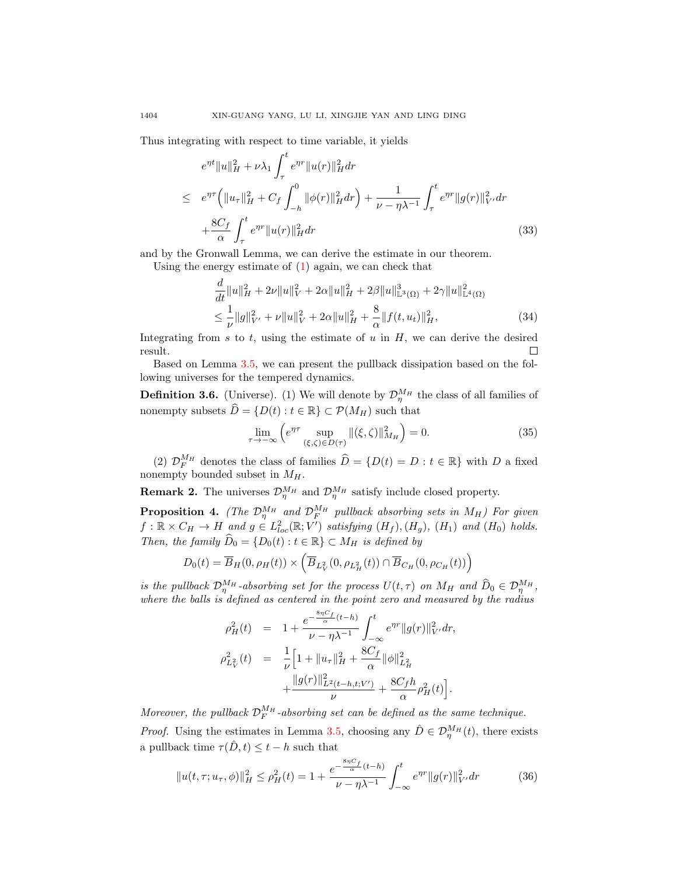Thus integrating with respect to time variable, it yields

$$
e^{\eta t} \|u\|_{H}^{2} + \nu \lambda_{1} \int_{\tau}^{t} e^{\eta r} \|u(r)\|_{H}^{2} dr
$$
  
\n
$$
\leq e^{\eta \tau} \left( \|u_{\tau}\|_{H}^{2} + C_{f} \int_{-h}^{0} \|\phi(r)\|_{H}^{2} dr \right) + \frac{1}{\nu - \eta \lambda^{-1}} \int_{\tau}^{t} e^{\eta r} \|g(r)\|_{V'}^{2} dr
$$
  
\n
$$
+ \frac{8C_{f}}{\alpha} \int_{\tau}^{t} e^{\eta r} \|u(r)\|_{H}^{2} dr
$$
\n(33)

and by the Gronwall Lemma, we can derive the estimate in our theorem.

Using the energy estimate of [\(1\)](#page-1-0) again, we can check that

$$
\frac{d}{dt}||u||_H^2 + 2\nu||u||_V^2 + 2\alpha||u||_H^2 + 2\beta||u||_{\mathbb{L}^3(\Omega)}^3 + 2\gamma||u||_{\mathbb{L}^4(\Omega)}^2
$$
\n
$$
\leq \frac{1}{\nu}||g||_V^2 + \nu||u||_V^2 + 2\alpha||u||_H^2 + \frac{8}{\alpha}||f(t, u_t)||_H^2,
$$
\n(34)

Integrating from s to t, using the estimate of  $u$  in  $H$ , we can derive the desired result.  $\Box$ 

Based on Lemma [3.5,](#page-8-0) we can present the pullback dissipation based on the following universes for the tempered dynamics.

<span id="page-9-1"></span>**Definition 3.6.** (Universe). (1) We will denote by  $\mathcal{D}_{\eta}^{M_H}$  the class of all families of nonempty subsets  $\widehat{D} = \{D(t) : t \in \mathbb{R}\}\subset \mathcal{P}(M_H)$  such that

$$
\lim_{\tau \to -\infty} \left( e^{\eta \tau} \sup_{(\xi,\zeta) \in D(\tau)} \|(\xi,\zeta)\|_{M_H}^2 \right) = 0. \tag{35}
$$

(2)  $\mathcal{D}_{F}^{M_{H}}$  denotes the class of families  $\widehat{D} = \{D(t) = D : t \in \mathbb{R}\}\)$  with D a fixed nonempty bounded subset in  $M_H$ .

**Remark 2.** The universes  $\mathcal{D}_{\eta}^{M_H}$  and  $\mathcal{D}_{\eta}^{M_H}$  satisfy include closed property.

<span id="page-9-0"></span>**Proposition 4.** (The  $\mathcal{D}_{\eta}^{M_H}$  and  $\mathcal{D}_{F}^{M_H}$  pullback absorbing sets in  $M_H$ ) For given  $f: \mathbb{R} \times C_H \to H$  and  $g \in L^2_{loc}(\mathbb{R}; V')$  satisfying  $(H_f), (H_g), (H_1)$  and  $(H_0)$  holds. Then, the family  $\widehat{D}_0 = \{D_0(t) : t \in \mathbb{R}\}\subset M_H$  is defined by

$$
D_0(t) = \overline{B}_H(0, \rho_H(t)) \times \left( \overline{B}_{L_V^2}(0, \rho_{L_H^2}(t)) \cap \overline{B}_{C_H}(0, \rho_{C_H}(t)) \right)
$$

is the pullback  $\mathcal{D}_{\eta}^{M_H}$ -absorbing set for the process  $U(t,\tau)$  on  $M_H$  and  $\widehat{D}_0 \in \mathcal{D}_{\eta}^{M_H}$ , where the balls is defined as centered in the point zero and measured by the radius

$$
\rho_H^2(t) = 1 + \frac{e^{-\frac{8\eta C_f}{\alpha}(t-h)}}{\nu - \eta \lambda^{-1}} \int_{-\infty}^t e^{\eta r} \|g(r)\|_{V'}^2 dr,
$$
  

$$
\rho_{L_V^2}^2(t) = \frac{1}{\nu} \Big[ 1 + \|u_\tau\|_H^2 + \frac{8C_f}{\alpha} \|\phi\|_{L_H^2}^2 + \frac{\|g(r)\|_{L^2(t-h,t;V')}^2}{\nu} + \frac{8C_f h}{\alpha} \rho_H^2(t) \Big].
$$

Moreover, the pullback  $\mathcal{D}_F^{M_H}$ -absorbing set can be defined as the same technique.

*Proof.* Using the estimates in Lemma [3.5,](#page-8-0) choosing any  $\hat{D} \in \mathcal{D}_{\eta}^{M_H}(t)$ , there exists a pullback time  $\tau(\hat{D}, t) \leq t - h$  such that

$$
||u(t,\tau;u_{\tau},\phi)||_{H}^{2} \leq \rho_{H}^{2}(t) = 1 + \frac{e^{-\frac{8\eta C_{f}}{\alpha}(t-h)}}{\nu - \eta\lambda^{-1}} \int_{-\infty}^{t} e^{\eta r} ||g(r)||_{V'}^{2} dr \qquad (36)
$$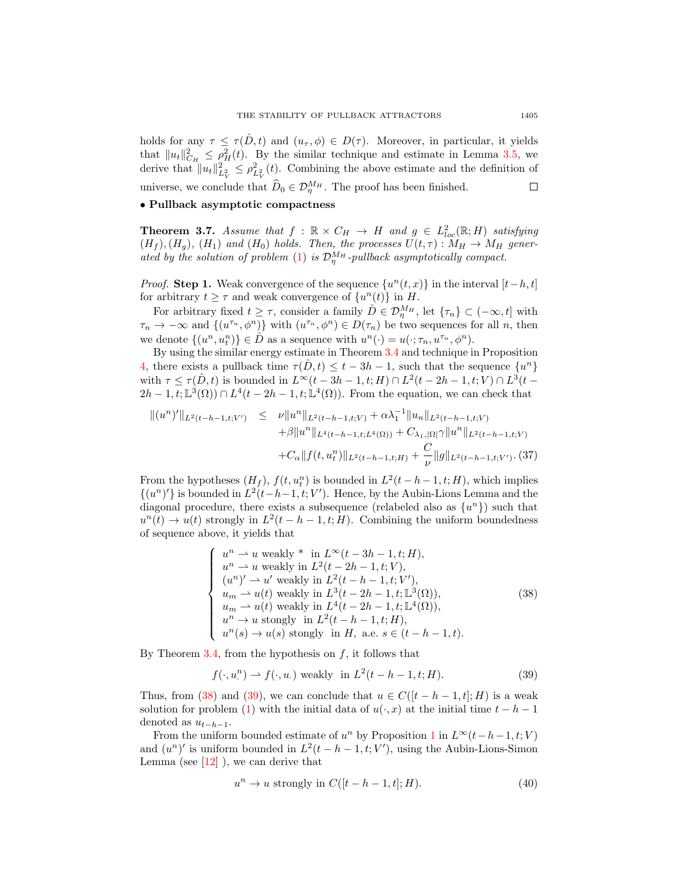holds for any  $\tau \leq \tau(\hat{D}, t)$  and  $(u_{\tau}, \phi) \in D(\tau)$ . Moreover, in particular, it yields that  $||u_t||_{C_H}^2 \leq \rho_H^2(t)$ . By the similar technique and estimate in Lemma [3.5,](#page-8-0) we derive that  $||u_t||_{L_V^2}^2 \leq \rho_{L_V^2}^2(t)$ . Combining the above estimate and the definition of universe, we conclude that  $\widehat{D}_0 \in \mathcal{D}_{\eta}^{M_H}$ . The proof has been finished.  $\Box$ 

### • Pullback asymptotic compactness

<span id="page-10-2"></span>**Theorem 3.7.** Assume that  $f : \mathbb{R} \times C_H \to H$  and  $g \in L^2_{loc}(\mathbb{R}; H)$  satisfying  $(H_f), (H_g), (H_1)$  and  $(H_0)$  holds. Then, the processes  $U(t, \tau) : M_H \to M_H$  gener-ated by the solution of problem [\(1\)](#page-1-0) is  $\mathcal{D}_{\eta}^{M_H}$ -pullback asymptotically compact.

*Proof.* Step 1. Weak convergence of the sequence  $\{u^n(t,x)\}\$ in the interval  $[t-h,t]$ for arbitrary  $t \geq \tau$  and weak convergence of  $\{u^{n}(t)\}\$ in H.

For arbitrary fixed  $t \geq \tau$ , consider a family  $\hat{D} \in \mathcal{D}_{\eta}^{M_H}$ , let  $\{\tau_n\} \subset (-\infty, t]$  with  $\tau_n \to -\infty$  and  $\{(u^{\tau_n}, \phi^n)\}\$  with  $(u^{\tau_n}, \phi^n) \in D(\tau_n)$  be two sequences for all n, then we denote  $\{(u^n, u_t^n)\}\in \hat{D}$  as a sequence with  $u^n(\cdot) = u(\cdot; \tau_n, u^{\tau_n}, \phi^n)$ .

By using the similar energy estimate in Theorem [3.4](#page-4-1) and technique in Proposition [4,](#page-9-0) there exists a pullback time  $\tau(\hat{D}, t) \leq t - 3h - 1$ , such that the sequence  $\{u^n\}$ with  $\tau \leq \tau(\hat{D}, t)$  is bounded in  $L^{\infty}(t - 3h - 1, t; H) \cap L^2(t - 2h - 1, t; V) \cap L^3(t 2h-1, t; \mathbb{L}^3(\Omega)$   $\cap$   $L^4(t-2h-1, t; \mathbb{L}^4(\Omega))$ . From the equation, we can check that

$$
\begin{aligned} \|(u^n)'\|_{L^2(t-h-1,t;V')} &\leq \nu \|u^n\|_{L^2(t-h-1,t;V)} + \alpha \lambda_1^{-1} \|u_n\|_{L^2(t-h-1,t;V)} \\ &+ \beta \|u^n\|_{L^4(t-h-1,t;L^4(\Omega))} + C_{\lambda_1,|\Omega|}\gamma \|u^n\|_{L^2(t-h-1,t;V)} \\ &+ C_{\alpha} \|f(t,u_t^n)\|_{L^2(t-h-1,t;H)} + \frac{C}{\nu} \|g\|_{L^2(t-h-1,t;V')} . \end{aligned}
$$

From the hypotheses  $(H_f)$ ,  $f(t, u_t^n)$  is bounded in  $L^2(t-h-1, t; H)$ , which implies  $\{(u^n)'\}\$ is bounded in  $L^2(t-h-1,t;V')$ . Hence, by the Aubin-Lions Lemma and the diagonal procedure, there exists a subsequence (relabeled also as  $\{u^{n}\}\$ ) such that  $u^{n}(t) \to u(t)$  strongly in  $L^{2}(t-h-1,t;H)$ . Combining the uniform boundedness of sequence above, it yields that

<span id="page-10-0"></span>
$$
\begin{cases}\nu^n \rightharpoonup u \text{ weakly * in } L^{\infty}(t-3h-1, t; H),\nu^n \rightharpoonup u \text{ weakly in } L^2(t-2h-1, t; V),\n(u^n)' \rightharpoonup u' \text{ weakly in } L^2(t-h-1, t; V'),\nu_m \rightharpoonup u(t) \text{ weakly in } L^3(t-2h-1, t; \mathbb{L}^3(\Omega)),\nu_m \rightharpoonup u(t) \text{ weakly in } L^4(t-2h-1, t; \mathbb{L}^4(\Omega)),\nu^n \rightharpoonup u \text{ strongly in } L^2(t-h-1, t; H),\nu^n(s) \rightharpoonup u(s) \text{ strongly in } H, \text{ a.e. } s \in (t-h-1, t).\end{cases}
$$
\n(38)

By Theorem  $3.4$ , from the hypothesis on f, it follows that

<span id="page-10-1"></span>
$$
f(\cdot, u^{n}) \rightharpoonup f(\cdot, u) \text{ weakly in } L^{2}(t - h - 1, t; H). \tag{39}
$$

Thus, from [\(38\)](#page-10-0) and [\(39\)](#page-10-1), we can conclude that  $u \in C([t-h-1,t];H)$  is a weak solution for problem [\(1\)](#page-1-0) with the initial data of  $u(\cdot, x)$  at the initial time  $t - h - 1$ denoted as  $u_{t-h-1}$ .

From the uniform bounded estimate of  $u^n$  by Proposition [1](#page-6-1) in  $L^\infty(t-h-1,t; V)$ and  $(u^n)'$  is uniform bounded in  $L^2(t-h-1,t;V')$ , using the Aubin-Lions-Simon Lemma (see  $[12]$ ), we can derive that

$$
u^n \to u \text{ strongly in } C([t-h-1,t];H). \tag{40}
$$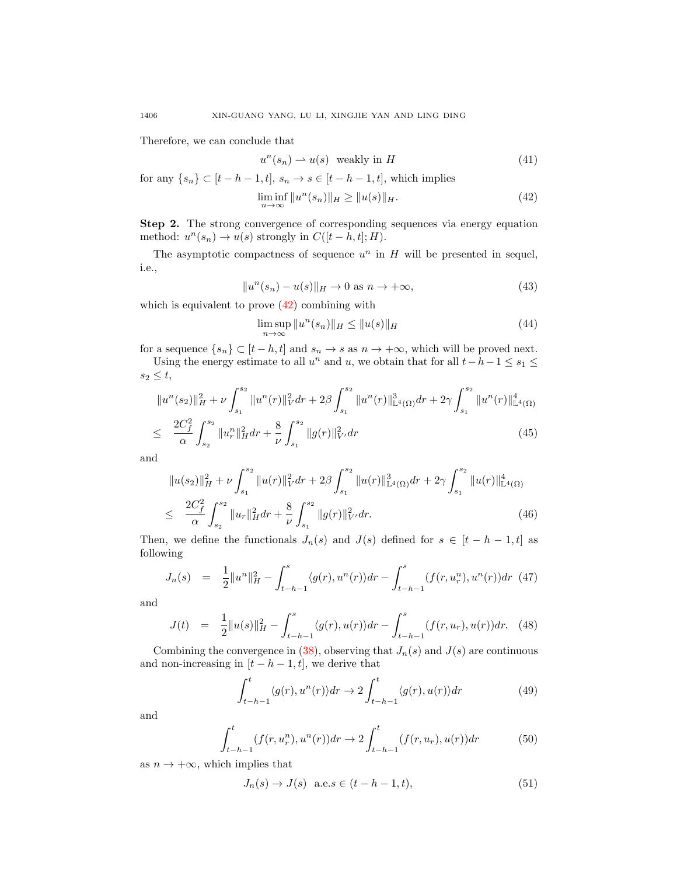Therefore, we can conclude that

$$
u^{n}(s_n) \rightharpoonup u(s) \quad \text{weakly in } H \tag{41}
$$

for any  $\{s_n\} \subset [t-h-1,t], s_n \to s \in [t-h-1,t],$  which implies

<span id="page-11-0"></span>
$$
\liminf_{n \to \infty} \|u^n(s_n)\|_H \ge \|u(s)\|_H. \tag{42}
$$

Step 2. The strong convergence of corresponding sequences via energy equation method:  $u^n(s_n) \to u(s)$  strongly in  $C([t-h,t];H)$ .

The asymptotic compactness of sequence  $u^n$  in H will be presented in sequel, i.e.,

$$
||u^n(s_n) - u(s)||_H \to 0 \text{ as } n \to +\infty,
$$
\n(43)

which is equivalent to prove [\(42\)](#page-11-0) combining with

$$
\limsup_{n \to \infty} \|u^n(s_n)\|_H \le \|u(s)\|_H \tag{44}
$$

for a sequence  $\{s_n\} \subset [t-h, t]$  and  $s_n \to s$  as  $n \to +\infty$ , which will be proved next.

Using the energy estimate to all  $u^n$  and  $u$ , we obtain that for all  $t-h-1 \leq s_1 \leq$  $s_2 \leq t$ ,

<span id="page-11-1"></span>
$$
||u^{n}(s_{2})||_{H}^{2} + \nu \int_{s_{1}}^{s_{2}} ||u^{n}(r)||_{V}^{2} dr + 2\beta \int_{s_{1}}^{s_{2}} ||u^{n}(r)||_{\mathbb{L}^{4}(\Omega)}^{3} dr + 2\gamma \int_{s_{1}}^{s_{2}} ||u^{n}(r)||_{\mathbb{L}^{4}(\Omega)}^{4}
$$
  

$$
\leq \frac{2C_{f}^{2}}{\alpha} \int_{s_{2}}^{s_{2}} ||u^{n}_{r}||_{H}^{2} dr + \frac{8}{\nu} \int_{s_{1}}^{s_{2}} ||g(r)||_{V'}^{2} dr \qquad (45)
$$

and

<span id="page-11-2"></span>
$$
||u(s_2)||_H^2 + \nu \int_{s_1}^{s_2} ||u(r)||_V^2 dr + 2\beta \int_{s_1}^{s_2} ||u(r)||_{\mathbb{L}^4(\Omega)}^3 dr + 2\gamma \int_{s_1}^{s_2} ||u(r)||_{\mathbb{L}^4(\Omega)}^4
$$
  

$$
\leq \frac{2C_f^2}{\alpha} \int_{s_2}^{s_2} ||u_r||_H^2 dr + \frac{8}{\nu} \int_{s_1}^{s_2} ||g(r)||_V^2 dr. \tag{46}
$$

Then, we define the functionals  $J_n(s)$  and  $J(s)$  defined for  $s \in [t-h-1,t]$  as following

$$
J_n(s) = \frac{1}{2} ||u^n||_H^2 - \int_{t-h-1}^s \langle g(r), u^n(r) \rangle dr - \int_{t-h-1}^s (f(r, u_r^n), u^n(r)) dr \tag{47}
$$

and

$$
J(t) = \frac{1}{2} ||u(s)||_H^2 - \int_{t-h-1}^s \langle g(r), u(r) \rangle dr - \int_{t-h-1}^s (f(r, u_r), u(r)) dr. \tag{48}
$$

Combining the convergence in [\(38\)](#page-10-0), observing that  $J_n(s)$  and  $J(s)$  are continuous and non-increasing in  $[t-h-1,t]$ , we derive that

$$
\int_{t-h-1}^{t} \langle g(r), u^n(r) \rangle dr \to 2 \int_{t-h-1}^{t} \langle g(r), u(r) \rangle dr \tag{49}
$$

and

$$
\int_{t-h-1}^{t} (f(r, u_r^n), u^n(r)) dr \to 2 \int_{t-h-1}^{t} (f(r, u_r), u(r)) dr \tag{50}
$$

as  $n \to +\infty$ , which implies that

$$
J_n(s) \to J(s) \quad \text{a.e.} s \in (t - h - 1, t), \tag{51}
$$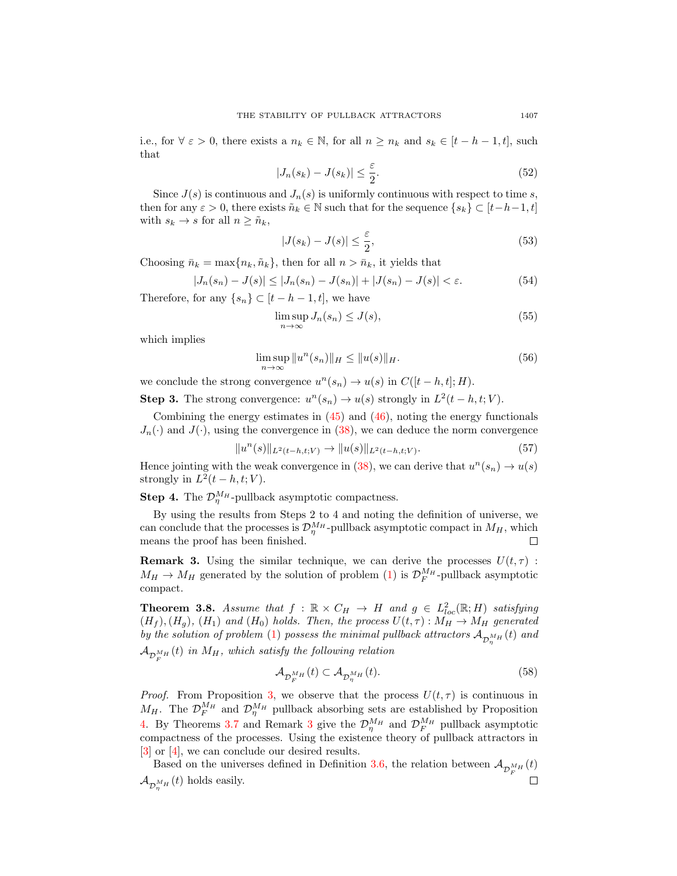i.e., for  $\forall \varepsilon > 0$ , there exists a  $n_k \in \mathbb{N}$ , for all  $n \geq n_k$  and  $s_k \in [t - h - 1, t]$ , such that

$$
|J_n(s_k) - J(s_k)| \le \frac{\varepsilon}{2}.\tag{52}
$$

Since  $J(s)$  is continuous and  $J_n(s)$  is uniformly continuous with respect to time s, then for any  $\varepsilon > 0$ , there exists  $\tilde{n}_k \in \mathbb{N}$  such that for the sequence  $\{s_k\} \subset [t-h-1,t]$ with  $s_k \to s$  for all  $n \geq \tilde{n}_k$ ,

$$
|J(s_k) - J(s)| \le \frac{\varepsilon}{2},\tag{53}
$$

Choosing  $\bar{n}_k = \max\{n_k, \tilde{n}_k\}$ , then for all  $n > \bar{n}_k$ , it yields that

$$
|J_n(s_n) - J(s)| \le |J_n(s_n) - J(s_n)| + |J(s_n) - J(s)| < \varepsilon. \tag{54}
$$

Therefore, for any  $\{s_n\} \subset [t-h-1,t]$ , we have

$$
\limsup_{n \to \infty} J_n(s_n) \le J(s),\tag{55}
$$

which implies

$$
\limsup_{n \to \infty} \|u^n(s_n)\|_H \le \|u(s)\|_H. \tag{56}
$$

we conclude the strong convergence  $u^n(s_n) \to u(s)$  in  $C([t-h,t];H)$ .

**Step 3.** The strong convergence:  $u^n(s_n) \to u(s)$  strongly in  $L^2(t-h,t;V)$ .

Combining the energy estimates in  $(45)$  and  $(46)$ , noting the energy functionals  $J_n(\cdot)$  and  $J(\cdot)$ , using the convergence in [\(38\)](#page-10-0), we can deduce the norm convergence

$$
||u^n(s)||_{L^2(t-h,t;V)} \to ||u(s)||_{L^2(t-h,t;V)}.
$$
\n(57)

Hence jointing with the weak convergence in [\(38\)](#page-10-0), we can derive that  $u^n(s_n) \to u(s)$ strongly in  $L^2(t-h,t;V)$ .

**Step 4.** The  $\mathcal{D}_{\eta}^{M_H}$ -pullback asymptotic compactness.

By using the results from Steps 2 to 4 and noting the definition of universe, we can conclude that the processes is  $\mathcal{D}_{\eta}^{M_H}$ -pullback asymptotic compact in  $M_H$ , which means the proof has been finished.  $\Box$ 

<span id="page-12-0"></span>**Remark 3.** Using the similar technique, we can derive the processes  $U(t, \tau)$ :  $M_H \rightarrow M_H$  generated by the solution of problem [\(1\)](#page-1-0) is  $\mathcal{D}_F^{M_H}$ -pullback asymptotic compact.

**Theorem 3.8.** Assume that  $f : \mathbb{R} \times C_H \to H$  and  $g \in L^2_{loc}(\mathbb{R}; H)$  satisfying  $(H_f), (H_g), (H_1)$  and  $(H_0)$  holds. Then, the process  $U(t,\tau) : M_H \to M_H$  generated by the solution of problem [\(1\)](#page-1-0) possess the minimal pullback attractors  ${\cal A}_{{\cal D}_\eta^{M_H}}(t)$  and  ${\cal A}_{{\cal D}_F^{M_H}}(t)$  in  $M_H$ , which satisfy the following relation

$$
\mathcal{A}_{\mathcal{D}_F^{M_H}}(t) \subset \mathcal{A}_{\mathcal{D}_\eta^{M_H}}(t). \tag{58}
$$

*Proof.* From Proposition [3,](#page-8-1) we observe that the process  $U(t, \tau)$  is continuous in  $M_H$ . The  $\mathcal{D}_F^{M_H}$  and  $\mathcal{D}_\eta^{M_H}$  pullback absorbing sets are established by Proposition [4.](#page-9-0) By Theorems [3.7](#page-10-2) and Remark [3](#page-12-0) give the  $\mathcal{D}_{\eta}^{M_H}$  and  $\mathcal{D}_{F}^{M_H}$  pullback asymptotic compactness of the processes. Using the existence theory of pullback attractors in [\[3\]](#page-22-8) or [\[4\]](#page-22-14), we can conclude our desired results.

Based on the universes defined in Definition [3.6,](#page-9-1) the relation between  $\mathcal{A}_{\mathcal{D}_F^{M_H}}(t)$  $\mathcal{A}_{\mathcal{D}_{\eta}^{M_H}}(t)$  holds easily.  $\Box$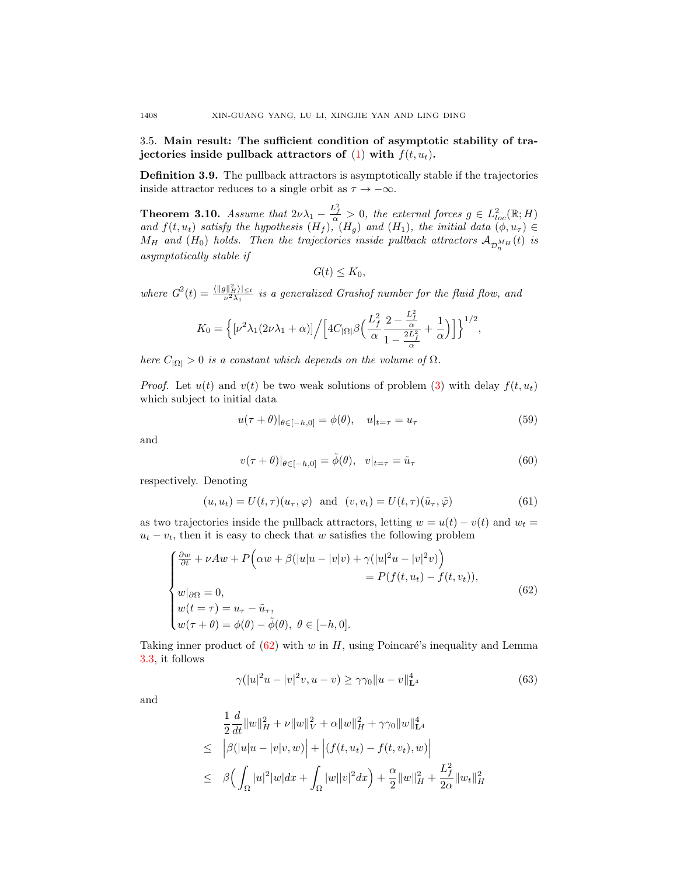3.5. Main result: The sufficient condition of asymptotic stability of trajectories inside pullback attractors of  $(1)$  with  $f(t, u_t)$ .

Definition 3.9. The pullback attractors is asymptotically stable if the trajectories inside attractor reduces to a single orbit as  $\tau \to -\infty$ .

<span id="page-13-2"></span>**Theorem 3.10.** Assume that  $2\nu\lambda_1 - \frac{L_f^2}{\alpha} > 0$ , the external forces  $g \in L^2_{loc}(\mathbb{R}; H)$ and  $f(t, u_t)$  satisfy the hypothesis  $(H_f)$ ,  $(H_g)$  and  $(H_1)$ , the initial data  $(\phi, u_\tau) \in$  $M_H$  and  $(H_0)$  holds. Then the trajectories inside pullback attractors  ${\cal A}_{{\cal D}_\eta^{M_H}}(t)$  is asymptotically stable if

$$
G(t) \leq K_0,
$$

where  $G^2(t) = \frac{\langle ||g||_H^2 \rangle|_{\leq t}}{\nu^2 \lambda_1}$  is a generalized Grashof number for the fluid flow, and

$$
K_0=\Big\{[\nu^2\lambda_1(2\nu\lambda_1+\alpha)]\Big/\Big[4C_{|\Omega|}\beta\Big(\frac{L_f^2}{\alpha}\frac{2-\frac{L_f^2}{\alpha}}{1-\frac{2L_f^2}{\alpha}}+\frac{1}{\alpha}\Big)\Big]\Big\}^{1/2},
$$

here  $C_{|\Omega|} > 0$  is a constant which depends on the volume of  $\Omega$ .

*Proof.* Let  $u(t)$  and  $v(t)$  be two weak solutions of problem [\(3\)](#page-2-1) with delay  $f(t, u_t)$ which subject to initial data

$$
u(\tau + \theta)|_{\theta \in [-h, 0]} = \phi(\theta), \quad u|_{t=\tau} = u_{\tau}
$$
 (59)

and

<span id="page-13-0"></span>
$$
v(\tau + \theta)|_{\theta \in [-h,0]} = \tilde{\phi}(\theta), \quad v|_{t=\tau} = \tilde{u}_{\tau}
$$
\n(60)

respectively. Denoting

$$
(u, u_t) = U(t, \tau)(u_{\tau}, \varphi) \text{ and } (v, v_t) = U(t, \tau)(\tilde{u}_{\tau}, \tilde{\varphi})
$$
\n(61)

as two trajectories inside the pullback attractors, letting  $w = u(t) - v(t)$  and  $w_t =$  $u_t - v_t$ , then it is easy to check that w satisfies the following problem

$$
\begin{cases}\n\frac{\partial w}{\partial t} + \nu Aw + P\Big(\alpha w + \beta(|u|u - |v|v) + \gamma(|u|^2u - |v|^2v)\Big) \\
= P(f(t, u_t) - f(t, v_t)), \\
w|_{\partial\Omega} = 0, \\
w(t = \tau) = u_{\tau} - \tilde{u}_{\tau}, \\
w(\tau + \theta) = \phi(\theta) - \tilde{\phi}(\theta), \ \theta \in [-h, 0].\n\end{cases} \tag{62}
$$

Taking inner product of  $(62)$  with w in H, using Poincaré's inequality and Lemma [3.3,](#page-4-2) it follows

<span id="page-13-3"></span>
$$
\gamma(|u|^2 u - |v|^2 v, u - v) \ge \gamma \gamma_0 \|u - v\|_{\mathbf{L}^4}^4 \tag{63}
$$

and

<span id="page-13-1"></span>
$$
\frac{1}{2} \frac{d}{dt} ||w||_H^2 + \nu ||w||_V^2 + \alpha ||w||_H^2 + \gamma \gamma_0 ||w||_{\mathbf{L}^4}^4
$$
\n
$$
\leq \left| \beta (|u|u - |v|v, w) \right| + \left| (f(t, u_t) - f(t, v_t), w) \right|
$$
\n
$$
\leq \beta \Big( \int_{\Omega} |u|^2 |w| dx + \int_{\Omega} |w||v|^2 dx \Big) + \frac{\alpha}{2} ||w||_H^2 + \frac{L_f^2}{2\alpha} ||w_t||_H^2
$$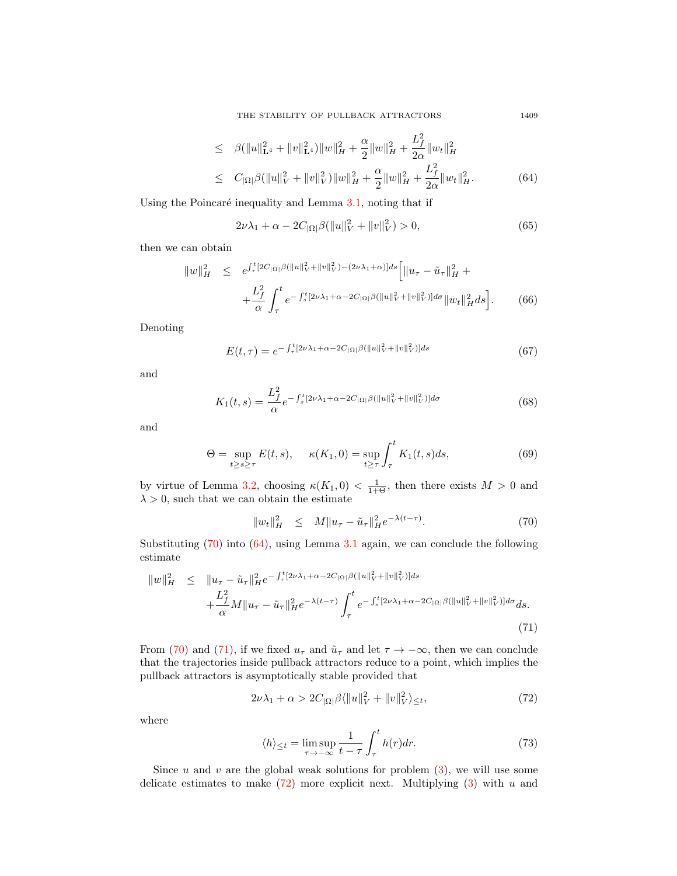THE STABILITY OF PULLBACK ATTRACTORS 1409

$$
\leq \beta(\|u\|_{\mathbf{L}^4}^2 + \|v\|_{\mathbf{L}^4}^2) \|w\|_H^2 + \frac{\alpha}{2} \|w\|_H^2 + \frac{L_f^2}{2\alpha} \|w_t\|_H^2
$$
  

$$
\leq C_{|\Omega|} \beta(\|u\|_V^2 + \|v\|_V^2) \|w\|_H^2 + \frac{\alpha}{2} \|w\|_H^2 + \frac{L_f^2}{2\alpha} \|w_t\|_H^2.
$$
 (64)

Using the Poincaré inequality and Lemma  $3.1$ , noting that if

$$
2\nu\lambda_1 + \alpha - 2C_{|\Omega|} \beta(||u||_V^2 + ||v||_V^2) > 0,
$$
\n(65)

then we can obtain

$$
||w||_H^2 \leq e^{\int_{\tau}^t [2C_{|\Omega|} \beta(||u||_V^2 + ||v||_V^2) - (2\nu\lambda_1 + \alpha)]ds} \left[ ||u_\tau - \tilde{u}_\tau||_H^2 + \frac{L_f^2}{\alpha} \int_{\tau}^t e^{-\int_s^t [2\nu\lambda_1 + \alpha - 2C_{|\Omega|} \beta(||u||_V^2 + ||v||_V^2) ]d\sigma} ||w_t||_H^2 ds \right].
$$
 (66)

Denoting

$$
E(t,\tau) = e^{-\int_{\tau}^{t} [2\nu\lambda_{1} + \alpha - 2C_{|\Omega|} \beta(\|u\|_{V}^{2} + \|v\|_{V}^{2})]ds}
$$
(67)

and

$$
K_1(t,s) = \frac{L_f^2}{\alpha} e^{-\int_s^t [2\nu\lambda_1 + \alpha - 2C_{|\Omega|}\beta(\|u\|_V^2 + \|v\|_V^2)]d\sigma}
$$
(68)

and

$$
\Theta = \sup_{t \ge s \ge \tau} E(t, s), \quad \kappa(K_1, 0) = \sup_{t \ge \tau} \int_{\tau}^{t} K_1(t, s) ds,
$$
\n(69)

by virtue of Lemma [3.2,](#page-3-1) choosing  $\kappa(K_1,0) < \frac{1}{1+\Theta}$ , then there exists  $M > 0$  and  $\lambda > 0$ , such that we can obtain the estimate

<span id="page-14-0"></span>
$$
||w_t||_H^2 \leq M||u_\tau - \tilde{u}_\tau||_H^2 e^{-\lambda(t-\tau)}.
$$
\n(70)

Substituting [\(70\)](#page-14-0) into [\(64\)](#page-13-1), using Lemma [3.1](#page-3-2) again, we can conclude the following estimate

<span id="page-14-1"></span>
$$
\|w\|_{H}^{2} \leq \|u_{\tau} - \tilde{u}_{\tau}\|_{H}^{2} e^{-\int_{\tau}^{t} [2\nu\lambda_{1} + \alpha - 2C_{|\Omega|} \beta(\|u\|_{V}^{2} + \|v\|_{V}^{2})]ds} + \frac{L_{f}^{2}}{\alpha} M \|u_{\tau} - \tilde{u}_{\tau}\|_{H}^{2} e^{-\lambda(t-\tau)} \int_{\tau}^{t} e^{-\int_{s}^{t} [2\nu\lambda_{1} + \alpha - 2C_{|\Omega|} \beta(\|u\|_{V}^{2} + \|v\|_{V}^{2})]d\sigma} ds.
$$
\n(71)

From [\(70\)](#page-14-0) and [\(71\)](#page-14-1), if we fixed  $u_{\tau}$  and  $\tilde{u}_{\tau}$  and let  $\tau \to -\infty$ , then we can conclude that the trajectories inside pullback attractors reduce to a point, which implies the pullback attractors is asymptotically stable provided that

$$
2\nu\lambda_1 + \alpha > 2C_{|\Omega|} \beta \langle ||u||_V^2 + ||v||_V^2 \rangle \leq t,\tag{72}
$$

<span id="page-14-3"></span>where

<span id="page-14-2"></span>
$$
\langle h \rangle_{\leq t} = \limsup_{\tau \to -\infty} \frac{1}{t - \tau} \int_{\tau}^{t} h(r) dr.
$$
 (73)

Since u and v are the global weak solutions for problem  $(3)$ , we will use some delicate estimates to make  $(72)$  more explicit next. Multiplying  $(3)$  with u and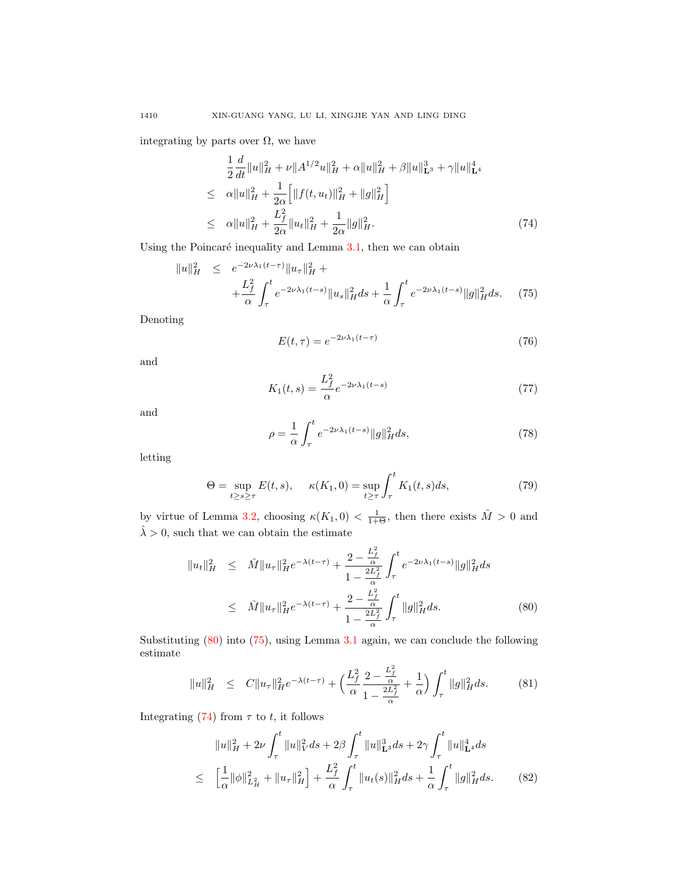integrating by parts over  $\Omega$ , we have

<span id="page-15-2"></span>
$$
\frac{1}{2}\frac{d}{dt}\|u\|_{H}^{2} + \nu \|A^{1/2}u\|_{H}^{2} + \alpha \|u\|_{H}^{2} + \beta \|u\|_{\mathbf{L}^{3}}^{3} + \gamma \|u\|_{\mathbf{L}^{4}}^{4}
$$
\n
$$
\leq \alpha \|u\|_{H}^{2} + \frac{1}{2\alpha} \Big[ \|f(t, u_{t})\|_{H}^{2} + \|g\|_{H}^{2} \Big]
$$
\n
$$
\leq \alpha \|u\|_{H}^{2} + \frac{L_{f}^{2}}{2\alpha} \|u_{t}\|_{H}^{2} + \frac{1}{2\alpha} \|g\|_{H}^{2}. \tag{74}
$$

Using the Poincaré inequality and Lemma  $3.1$ , then we can obtain

<span id="page-15-1"></span>
$$
||u||_H^2 \le e^{-2\nu\lambda_1(t-\tau)} ||u_\tau||_H^2 + +\frac{L_f^2}{\alpha} \int_\tau^t e^{-2\nu\lambda_1(t-s)} ||u_s||_H^2 ds + \frac{1}{\alpha} \int_\tau^t e^{-2\nu\lambda_1(t-s)} ||g||_H^2 ds. \tag{75}
$$

Denoting

$$
E(t,\tau) = e^{-2\nu\lambda_1(t-\tau)}\tag{76}
$$

and

$$
K_1(t,s) = \frac{L_f^2}{\alpha} e^{-2\nu\lambda_1(t-s)}
$$
\n(77)

and

$$
\rho = \frac{1}{\alpha} \int_{\tau}^{t} e^{-2\nu\lambda_1(t-s)} \|g\|_{H}^{2} ds,\tag{78}
$$

letting

$$
\Theta = \sup_{t \ge s \ge \tau} E(t, s), \quad \kappa(K_1, 0) = \sup_{t \ge \tau} \int_{\tau}^{t} K_1(t, s) ds, \tag{79}
$$

by virtue of Lemma [3.2,](#page-3-1) choosing  $\kappa(K_1,0) < \frac{1}{1+\Theta}$ , then there exists  $\hat{M} > 0$  and  $\hat{\lambda} > 0$ , such that we can obtain the estimate

<span id="page-15-0"></span>
$$
||u_t||_H^2 \leq \hat{M}||u_\tau||_H^2 e^{-\lambda(t-\tau)} + \frac{2 - \frac{L_f^2}{\alpha}}{1 - \frac{2L_f^2}{\alpha}} \int_\tau^t e^{-2\nu\lambda_1(t-s)} ||g||_H^2 ds
$$
  

$$
\leq \hat{M}||u_\tau||_H^2 e^{-\lambda(t-\tau)} + \frac{2 - \frac{L_f^2}{\alpha}}{1 - \frac{2L_f^2}{\alpha}} \int_\tau^t ||g||_H^2 ds.
$$
 (80)

Substituting [\(80\)](#page-15-0) into [\(75\)](#page-15-1), using Lemma [3.1](#page-3-2) again, we can conclude the following estimate

<span id="page-15-3"></span>
$$
||u||_H^2 \leq C||u_\tau||_H^2 e^{-\lambda(t-\tau)} + \left(\frac{L_f^2}{\alpha} \frac{2 - \frac{L_f^2}{\alpha}}{1 - \frac{2L_f^2}{\alpha}} + \frac{1}{\alpha}\right) \int_\tau^t ||g||_H^2 ds. \tag{81}
$$

Integrating  $(74)$  from  $\tau$  to t, it follows

$$
||u||_{H}^{2} + 2\nu \int_{\tau}^{t} ||u||_{V}^{2} ds + 2\beta \int_{\tau}^{t} ||u||_{\mathbf{L}^{3}}^{3} ds + 2\gamma \int_{\tau}^{t} ||u||_{\mathbf{L}^{4}}^{4} ds
$$
  
\n
$$
\leq \left[ \frac{1}{\alpha} ||\phi||_{L_{H}^{2}}^{2} + ||u_{\tau}||_{H}^{2} \right] + \frac{L_{f}^{2}}{\alpha} \int_{\tau}^{t} ||u_{t}(s)||_{H}^{2} ds + \frac{1}{\alpha} \int_{\tau}^{t} ||g||_{H}^{2} ds. \tag{82}
$$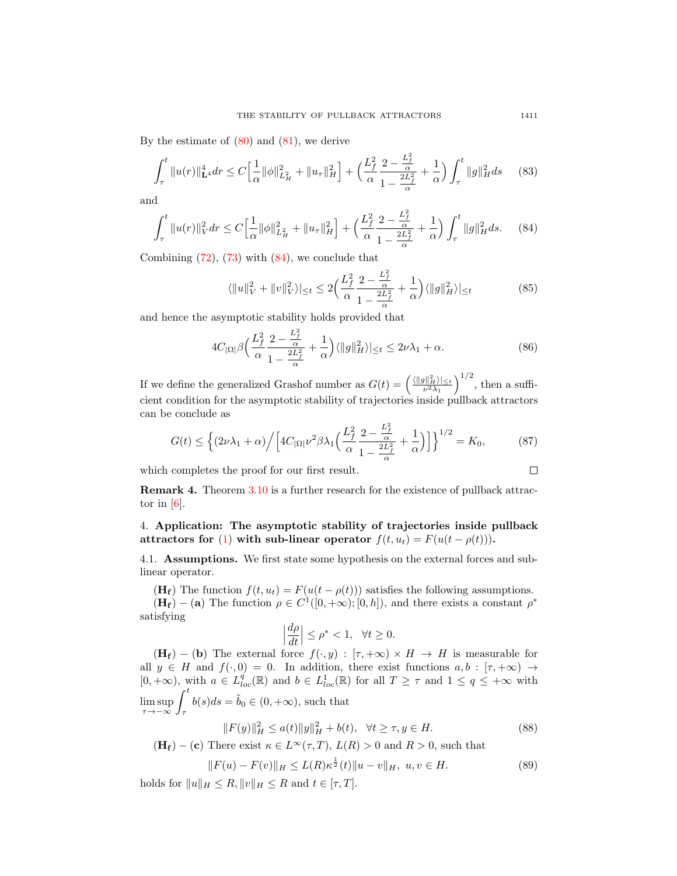By the estimate of  $(80)$  and  $(81)$ , we derive

$$
\int_{\tau}^{t} \|u(r)\|_{\mathbf{L}^{4}}^{4} dr \leq C \Big[ \frac{1}{\alpha} \|\phi\|_{L_{H}^{2}}^{2} + \|u_{\tau}\|_{H}^{2} \Big] + \Big( \frac{L_{f}^{2}}{\alpha} \frac{2 - \frac{L_{f}^{2}}{\alpha}}{1 - \frac{2L_{f}^{2}}{\alpha}} + \frac{1}{\alpha} \Big) \int_{\tau}^{t} \|g\|_{H}^{2} ds \qquad (83)
$$

and

<span id="page-16-1"></span>
$$
\int_{\tau}^{t} \|u(r)\|_{V}^{2} dr \leq C \Big[\frac{1}{\alpha} \|\phi\|_{L_{H}^{2}}^{2} + \|u_{\tau}\|_{H}^{2}\Big] + \Big(\frac{L_{f}^{2}}{\alpha} \frac{2 - \frac{L_{f}^{2}}{\alpha}}{1 - \frac{2L_{f}^{2}}{\alpha}} + \frac{1}{\alpha}\Big) \int_{\tau}^{t} \|g\|_{H}^{2} ds. \tag{84}
$$

Combining [\(72\)](#page-14-2), [\(73\)](#page-14-3) with [\(84\)](#page-16-1), we conclude that

$$
\langle ||u||_V^2 + ||v||_V^2 \rangle \le \le 2 \Big( \frac{L_f^2}{\alpha} \frac{2 - \frac{L_f^2}{\alpha}}{1 - \frac{2L_f^2}{\alpha}} + \frac{1}{\alpha} \Big) \langle ||g||_H^2 \rangle \le \tag{85}
$$

and hence the asymptotic stability holds provided that

$$
4C_{|\Omega|}\beta \Big(\frac{L_f^2}{\alpha} \frac{2 - \frac{L_f^2}{\alpha}}{1 - \frac{2L_f^2}{\alpha}} + \frac{1}{\alpha}\Big) \langle ||g||_H^2 \rangle|_{\leq t} \leq 2\nu\lambda_1 + \alpha. \tag{86}
$$

If we define the generalized Grashof number as  $G(t) = \left(\frac{\langle ||g||_H^2 \rangle_{\leq t}}{\nu^2 \lambda_1}\right)^{1/2}$ , then a sufficient condition for the asymptotic stability of trajectories inside pullback attractors can be conclude as

$$
G(t) \le \left\{ (2\nu\lambda_1 + \alpha) \Big/ \Big[ 4C_{|\Omega|} \nu^2 \beta \lambda_1 \Big( \frac{L_f^2}{\alpha} \frac{2 - \frac{L_f^2}{\alpha}}{1 - \frac{2L_f^2}{\alpha}} + \frac{1}{\alpha} \Big) \Big] \right\}^{1/2} = K_0,
$$
 (87)

which completes the proof for our first result.

**Remark 4.** Theorem 3.10 is a further research for the existence of pullback attractor in 
$$
[6]
$$
.

<span id="page-16-0"></span>4. Application: The asymptotic stability of trajectories inside pullback attractors for [\(1\)](#page-1-0) with sub-linear operator  $f(t, u_t) = F(u(t - \rho(t)))$ .

4.1. Assumptions. We first state some hypothesis on the external forces and sublinear operator.

(H<sub>f</sub>) The function  $f(t, u_t) = F(u(t - \rho(t)))$  satisfies the following assumptions.  $(\mathbf{H_f}) - (\mathbf{a})$  The function  $\rho \in C^1([0, +\infty); [0, h])$ , and there exists a constant  $\rho^*$ satisfying

$$
\left|\frac{d\rho}{dt}\right|\leq \rho^*<1,~~\forall t\geq 0.
$$

 $(H_f) - (b)$  The external force  $f(\cdot, y) : [\tau, +\infty) \times H \to H$  is measurable for all  $y \in H$  and  $f(\cdot, 0) = 0$ . In addition, there exist functions  $a, b : [\tau, +\infty) \to$  $[0, +\infty)$ , with  $a \in L_{loc}^q(\mathbb{R})$  and  $b \in L_{loc}^1(\mathbb{R})$  for all  $T \geq \tau$  and  $1 \leq q \leq +\infty$  with  $\limsup_{\tau \to -\infty} \int_{\tau}^{t} b(s) ds = \tilde{b}_0 \in (0, +\infty)$ , such that

$$
||F(y)||_H^2 \le a(t)||y||_H^2 + b(t), \quad \forall t \ge \tau, y \in H. \tag{88}
$$

 $(\mathbf{H}_{\mathbf{f}}) - (\mathbf{c})$  There exist  $\kappa \in L^{\infty}(\tau, T),$   $L(R) > 0$  and  $R > 0,$  such that

$$
||F(u) - F(v)||_H \le L(R)\kappa^{\frac{1}{2}}(t)||u - v||_H, \ u, v \in H.
$$
\n(89)

holds for  $||u||_H \leq R$ ,  $||v||_H \leq R$  and  $t \in [\tau, T]$ .

 $\Box$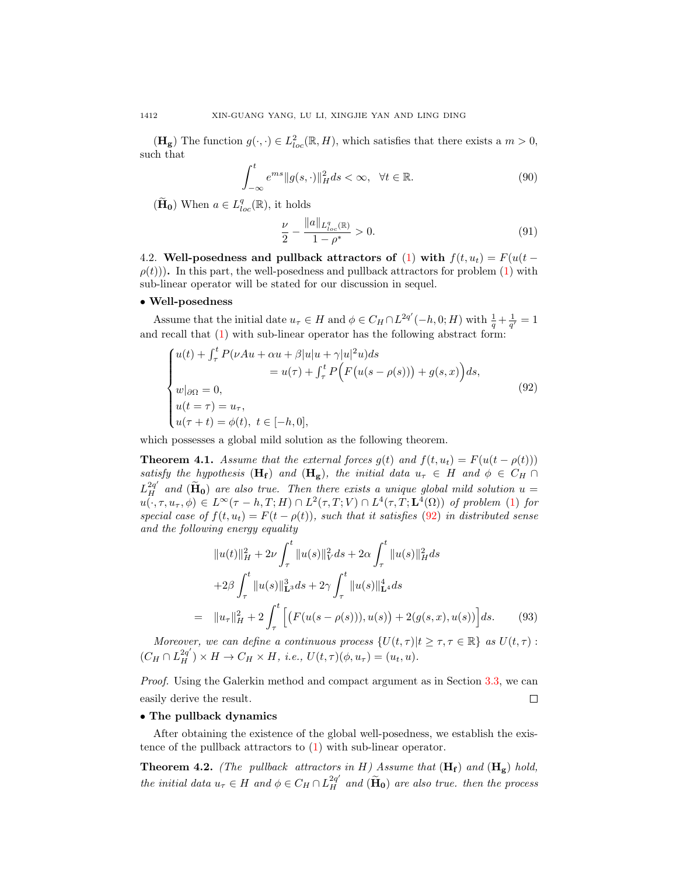$(\mathbf{H_g})$  The function  $g(\cdot, \cdot) \in L^2_{loc}(\mathbb{R}, H)$ , which satisfies that there exists a  $m > 0$ , such that

$$
\int_{-\infty}^{t} e^{ms} \|g(s, \cdot)\|_{H}^{2} ds < \infty, \quad \forall t \in \mathbb{R}.
$$
\n(90)

 $(\widetilde{\mathbf{H}}_{0})$  When  $a \in L^{q}_{loc}(\mathbb{R})$ , it holds

<span id="page-17-0"></span>
$$
\frac{\nu}{2} - \frac{\|a\|_{L^q_{loc}(\mathbb{R})}}{1 - \rho^*} > 0.
$$
\n(91)

4.2. Well-posedness and pullback attractors of [\(1\)](#page-1-0) with  $f(t, u_t) = F(u(t \rho(t)$ ). In this part, the well-posedness and pullback attractors for problem [\(1\)](#page-1-0) with sub-linear operator will be stated for our discussion in sequel.

#### • Well-posedness

Assume that the initial date  $u_{\tau} \in H$  and  $\phi \in C_H \cap L^{2q'}(-h, 0; H)$  with  $\frac{1}{q} + \frac{1}{q'} = 1$ and recall that [\(1\)](#page-1-0) with sub-linear operator has the following abstract form:

$$
\begin{cases}\nu(t) + \int_{\tau}^{t} P(\nu Au + \alpha u + \beta |u|u + \gamma |u|^{2}u) ds \\
= u(\tau) + \int_{\tau}^{t} P\Big(F\big(u(s - \rho(s))\big) + g(s, x)\Big) ds, \\
w|_{\partial\Omega} = 0, \\
u(t = \tau) = u_{\tau}, \\
u(\tau + t) = \phi(t), \ t \in [-h, 0],\n\end{cases} \tag{92}
$$

which possesses a global mild solution as the following theorem.

**Theorem 4.1.** Assume that the external forces  $g(t)$  and  $f(t, u_t) = F(u(t - \rho(t)))$ satisfy the hypothesis (H<sub>f</sub>) and (H<sub>g</sub>), the initial data  $u_{\tau} \in H$  and  $\phi \in C_H \cap$  $L_H^{2q'}$  and  $(\widetilde{H}_0)$  are also true. Then there exists a unique global mild solution  $u =$  $u(\cdot,\tau,u_{\tau},\phi) \in L^{\infty}(\tau-h,T;H) \cap L^{2}(\tau,T;V) \cap L^{4}(\tau,T;\mathbf{L}^{4}(\Omega))$  of problem [\(1\)](#page-1-0) for special case of  $f(t, u_t) = F(t - \rho(t))$ , such that it satisfies [\(92\)](#page-17-0) in distributed sense and the following energy equality

$$
||u(t)||_{H}^{2} + 2\nu \int_{\tau}^{t} ||u(s)||_{V}^{2} ds + 2\alpha \int_{\tau}^{t} ||u(s)||_{H}^{2} ds
$$
  
+2\beta \int\_{\tau}^{t} ||u(s)||\_{L^{3}}^{3} ds + 2\gamma \int\_{\tau}^{t} ||u(s)||\_{L^{4}}^{4} ds  
= ||u\_{\tau}||\_{H}^{2} + 2 \int\_{\tau}^{t} \left[ (F(u(s - \rho(s))), u(s)) + 2(g(s, x), u(s)) \right] ds. (93)

Moreover, we can define a continuous process  $\{U(t,\tau)|t\geq\tau,\tau\in\mathbb{R}\}\$ as  $U(t,\tau)$ :  $(C_H \cap L_H^{2q'}) \times H \to C_H \times H$ , i.e.,  $U(t, \tau)(\phi, u_\tau) = (u_t, u)$ .

Proof. Using the Galerkin method and compact argument as in Section [3.3,](#page-4-3) we can  $\Box$ easily derive the result.

#### • The pullback dynamics

After obtaining the existence of the global well-posedness, we establish the existence of the pullback attractors to [\(1\)](#page-1-0) with sub-linear operator.

**Theorem 4.2.** (The pullback attractors in H) Assume that  $(H_f)$  and  $(H_g)$  hold, the initial data  $u_{\tau} \in H$  and  $\phi \in C_H \cap L_H^{2q'}$  and  $(\tilde{H}_0)$  are also true. then the process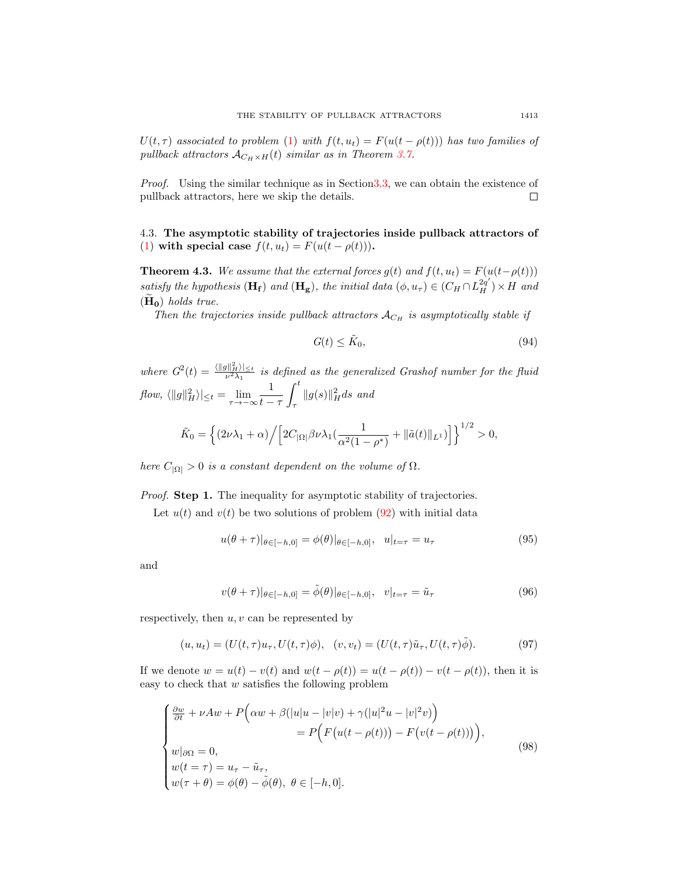$U(t, \tau)$  associated to problem [\(1\)](#page-1-0) with  $f(t, u_t) = F(u(t - \rho(t)))$  has two families of pullback attractors  $A_{C_H \times H}(t)$  similar as in Theorem [3.7.](#page-10-2)

Proof. Using the similar technique as in Sectio[n3.3,](#page-4-3) we can obtain the existence of pullback attractors, here we skip the details.  $\Box$ 

4.3. The asymptotic stability of trajectories inside pullback attractors of [\(1\)](#page-1-0) with special case  $f(t, u_t) = F(u(t - \rho(t)))$ .

**Theorem 4.3.** We assume that the external forces  $g(t)$  and  $f(t, u_t) = F(u(t-\rho(t)))$ satisfy the hypothesis  $(\mathbf{H}_{\mathbf{f}})$  and  $(\mathbf{H}_{\mathbf{g}})$ , the initial data  $(\phi, u_{\tau}) \in (C_H \cap L_H^{2q'}) \times H$  and  $(H_0)$  holds true.

Then the trajectories inside pullback attractors  $A_{C_H}$  is asymptotically stable if

$$
G(t) \le \tilde{K}_0,\tag{94}
$$

where  $G^2(t) = \frac{\langle ||g||_H^2}{\nu^2 \lambda_1}$  is defined as the generalized Grashof number for the fluid  $flow, \langle ||g||_H^2 \rangle|_{\leq t} = \lim_{\tau \to -\infty} \frac{1}{t-1}$  $t - \tau$  $\int_0^t$ τ  $||g(s)||_H^2 ds$  and

$$
\tilde{K}_0 = \left\{ (2\nu\lambda_1 + \alpha) \Big/ \Big[ 2C_{|\Omega|} \beta \nu \lambda_1 \left( \frac{1}{\alpha^2 (1 - \rho^*)} + ||\tilde{a}(t)||_{L^1} \right) \Big] \right\}^{1/2} > 0,
$$

here  $C_{|\Omega|} > 0$  is a constant dependent on the volume of  $\Omega$ .

Proof. Step 1. The inequality for asymptotic stability of trajectories.

Let  $u(t)$  and  $v(t)$  be two solutions of problem [\(92\)](#page-17-0) with initial data

$$
u(\theta + \tau)|_{\theta \in [-h,0]} = \phi(\theta)|_{\theta \in [-h,0]}, \quad u|_{t=\tau} = u_{\tau}
$$
\n(95)

and

<span id="page-18-0"></span>
$$
v(\theta + \tau)|_{\theta \in [-h,0]} = \tilde{\phi}(\theta)|_{\theta \in [-h,0]}, \quad v|_{t=\tau} = \tilde{u}_{\tau}
$$
\n(96)

respectively, then  $u, v$  can be represented by

$$
(u, u_t) = (U(t, \tau)u_{\tau}, U(t, \tau)\phi), \quad (v, v_t) = (U(t, \tau)\tilde{u}_{\tau}, U(t, \tau)\tilde{\phi}).
$$
\n
$$
(97)
$$

If we denote  $w = u(t) - v(t)$  and  $w(t - \rho(t)) = u(t - \rho(t)) - v(t - \rho(t))$ , then it is easy to check that  $w$  satisfies the following problem

$$
\begin{cases}\n\frac{\partial w}{\partial t} + \nu Aw + P\Big(\alpha w + \beta(|u|u - |v|v) + \gamma(|u|^2u - |v|^2v)\Big) \\
= P\Big(F\big(u(t - \rho(t))\big) - F\big(v(t - \rho(t))\big)\Big), \\
w|_{\partial\Omega} = 0, \\
w(t = \tau) = u_{\tau} - \tilde{u}_{\tau}, \\
w(\tau + \theta) = \phi(\theta) - \tilde{\phi}(\theta), \ \theta \in [-h, 0].\n\end{cases} \tag{98}
$$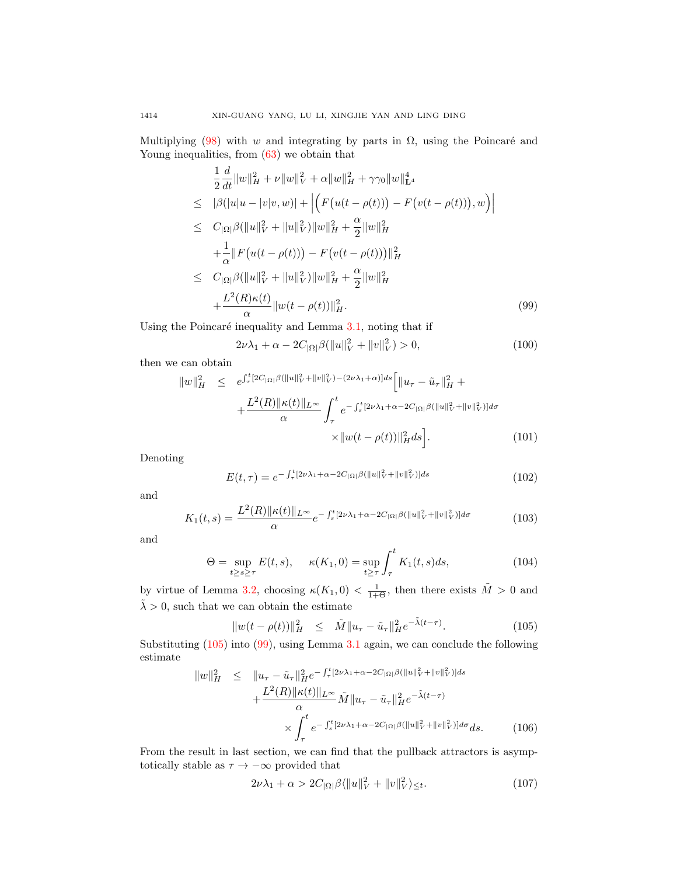Multiplying [\(98\)](#page-18-0) with w and integrating by parts in  $\Omega$ , using the Poincaré and Young inequalities, from [\(63\)](#page-13-3) we obtain that

<span id="page-19-1"></span>
$$
\frac{1}{2}\frac{d}{dt}\|w\|_{H}^{2} + \nu\|w\|_{V}^{2} + \alpha\|w\|_{H}^{2} + \gamma\gamma_{0}\|w\|_{\mathbf{L}^{4}}^{4}
$$
\n
$$
\leq |\beta(|u|u - |v|v, w)| + \left| \left( F(u(t - \rho(t))) - F(v(t - \rho(t))), w \right) \right|
$$
\n
$$
\leq C_{|\Omega|}\beta(\|u\|_{V}^{2} + \|u\|_{V}^{2})\|w\|_{H}^{2} + \frac{\alpha}{2}\|w\|_{H}^{2}
$$
\n
$$
+ \frac{1}{\alpha}\|F(u(t - \rho(t))) - F(v(t - \rho(t)))\|_{H}^{2}
$$
\n
$$
\leq C_{|\Omega|}\beta(\|u\|_{V}^{2} + \|u\|_{V}^{2})\|w\|_{H}^{2} + \frac{\alpha}{2}\|w\|_{H}^{2}
$$
\n
$$
+ \frac{L^{2}(R)\kappa(t)}{\alpha}\|w(t - \rho(t))\|_{H}^{2}.
$$
\n(99)

Using the Poincaré inequality and Lemma  $3.1$ , noting that if

$$
2\nu\lambda_1 + \alpha - 2C_{|\Omega|} \beta (\|u\|_V^2 + \|v\|_V^2) > 0,
$$
\n(100)

then we can obtain

$$
||w||_H^2 \leq e^{\int_{\tau}^t [2C_{|\Omega|} \beta(||u||_V^2 + ||v||_V^2) - (2\nu\lambda_1 + \alpha)]ds} \left[ ||u_\tau - \tilde{u}_\tau||_H^2 + \frac{L^2(R) ||\kappa(t)||_{L^\infty}}{\alpha} \int_{\tau}^t e^{-\int_s^t [2\nu\lambda_1 + \alpha - 2C_{|\Omega|} \beta(||u||_V^2 + ||v||_V^2) d\sigma} \times ||w(t - \rho(t))||_H^2 ds \right].
$$
 (101)

Denoting

$$
E(t,\tau) = e^{-\int_{\tau}^{t} [2\nu\lambda_{1} + \alpha - 2C_{|\Omega|} \beta(\|u\|_{V}^{2} + \|v\|_{V}^{2})]ds}
$$
\n(102)

and

$$
K_1(t,s) = \frac{L^2(R)\|\kappa(t)\|_{L^\infty}}{\alpha}e^{-\int_s^t [2\nu\lambda_1 + \alpha - 2C_{|\Omega|}\beta(\|u\|_V^2 + \|v\|_V^2)]d\sigma}
$$
(103)

and

$$
\Theta = \sup_{t \ge s \ge \tau} E(t, s), \quad \kappa(K_1, 0) = \sup_{t \ge \tau} \int_{\tau}^{t} K_1(t, s) ds,
$$
\n(104)

by virtue of Lemma [3.2,](#page-3-1) choosing  $\kappa(K_1,0) < \frac{1}{1+\Theta}$ , then there exists  $\tilde{M} > 0$  and  $\tilde{\lambda} > 0$ , such that we can obtain the estimate

<span id="page-19-0"></span>
$$
||w(t - \rho(t))||_H^2 \leq \tilde{M}||u_\tau - \tilde{u}_\tau||_H^2 e^{-\tilde{\lambda}(t - \tau)}.
$$
 (105)

Substituting [\(105\)](#page-19-0) into [\(99\)](#page-19-1), using Lemma [3.1](#page-3-2) again, we can conclude the following estimate

$$
||w||_H^2 \leq ||u_\tau - \tilde{u}_\tau||_H^2 e^{-\int_\tau^t [2\nu\lambda_1 + \alpha - 2C_{|\Omega|} \beta(||u||_V^2 + ||v||_V^2)]ds} + \frac{L^2(R)||\kappa(t)||_{L^\infty}}{\alpha} \tilde{M}||u_\tau - \tilde{u}_\tau||_H^2 e^{-\tilde{\lambda}(t-\tau)} \times \int_\tau^t e^{-\int_s^t [2\nu\lambda_1 + \alpha - 2C_{|\Omega|} \beta(||u||_V^2 + ||v||_V^2)]d\sigma} ds.
$$
 (106)

From the result in last section, we can find that the pullback attractors is asymptotically stable as  $\tau \to -\infty$  provided that

<span id="page-19-2"></span>
$$
2\nu\lambda_1 + \alpha > 2C_{|\Omega|} \beta \langle ||u||_V^2 + ||v||_V^2 \rangle \leq t. \tag{107}
$$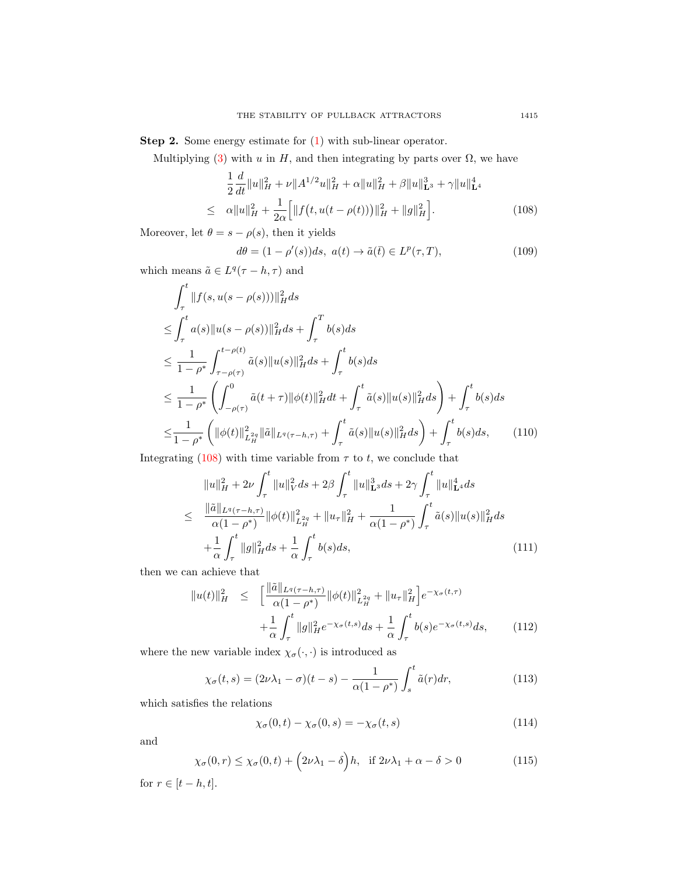Step 2. Some energy estimate for [\(1\)](#page-1-0) with sub-linear operator.

Multiplying [\(3\)](#page-2-1) with u in H, and then integrating by parts over  $\Omega$ , we have

<span id="page-20-0"></span>
$$
\frac{1}{2}\frac{d}{dt}\|u\|_{H}^{2} + \nu \|A^{1/2}u\|_{H}^{2} + \alpha \|u\|_{H}^{2} + \beta \|u\|_{\mathbf{L}^{3}}^{3} + \gamma \|u\|_{\mathbf{L}^{4}}^{4}
$$
\n
$$
\leq \alpha \|u\|_{H}^{2} + \frac{1}{2\alpha} \Big[ \|f(t, u(t - \rho(t)))\|_{H}^{2} + \|g\|_{H}^{2} \Big]. \tag{108}
$$

Moreover, let  $\theta = s - \rho(s)$ , then it yields

$$
d\theta = (1 - \rho'(s))ds, \ a(t) \to \tilde{a}(\bar{t}) \in L^p(\tau, T), \tag{109}
$$

which means  $\tilde{a} \in L^q(\tau - h, \tau)$  and

$$
\int_{\tau}^{t} \|f(s, u(s - \rho(s)))\|_{H}^{2} ds
$$
\n
$$
\leq \int_{\tau}^{t} a(s) \|u(s - \rho(s))\|_{H}^{2} ds + \int_{\tau}^{T} b(s) ds
$$
\n
$$
\leq \frac{1}{1 - \rho^{*}} \int_{\tau - \rho(\tau)}^{t - \rho(t)} \tilde{a}(s) \|u(s)\|_{H}^{2} ds + \int_{\tau}^{t} b(s) ds
$$
\n
$$
\leq \frac{1}{1 - \rho^{*}} \left( \int_{-\rho(\tau)}^{0} \tilde{a}(t + \tau) \|\phi(t)\|_{H}^{2} dt + \int_{\tau}^{t} \tilde{a}(s) \|u(s)\|_{H}^{2} ds \right) + \int_{\tau}^{t} b(s) ds
$$
\n
$$
\leq \frac{1}{1 - \rho^{*}} \left( \|\phi(t)\|_{L_{H}^{2}(\tau)}^{2} \|\tilde{a}\|_{L^{q}(\tau - h, \tau)} + \int_{\tau}^{t} \tilde{a}(s) \|u(s)\|_{H}^{2} ds \right) + \int_{\tau}^{t} b(s) ds, \qquad (110)
$$

Integrating  $(108)$  with time variable from  $\tau$  to t, we conclude that

$$
||u||_{H}^{2} + 2\nu \int_{\tau}^{t} ||u||_{V}^{2} ds + 2\beta \int_{\tau}^{t} ||u||_{\mathbf{L}^{3}}^{3} ds + 2\gamma \int_{\tau}^{t} ||u||_{\mathbf{L}^{4}}^{4} ds
$$
  
\n
$$
\leq \frac{||\tilde{a}||_{L^{q}(\tau-h,\tau)}}{\alpha(1-\rho^{*})} ||\phi(t)||_{L_{H}^{2q}}^{2} + ||u_{\tau}||_{H}^{2} + \frac{1}{\alpha(1-\rho^{*})} \int_{\tau}^{t} \tilde{a}(s)||u(s)||_{H}^{2} ds
$$
  
\n
$$
+ \frac{1}{\alpha} \int_{\tau}^{t} ||g||_{H}^{2} ds + \frac{1}{\alpha} \int_{\tau}^{t} b(s) ds,
$$
\n(111)

then we can achieve that

$$
||u(t)||_H^2 \le \left[ \frac{||\tilde{a}||_{L^q(\tau-h,\tau)}}{\alpha(1-\rho^*)} ||\phi(t)||_{L^2_H}^2 + ||u_\tau||_H^2 \right] e^{-\chi_\sigma(t,\tau)} + \frac{1}{\alpha} \int_\tau^t ||g||_H^2 e^{-\chi_\sigma(t,s)} ds + \frac{1}{\alpha} \int_\tau^t b(s) e^{-\chi_\sigma(t,s)} ds, \tag{112}
$$

where the new variable index  $\chi_{\sigma}(\cdot,\cdot)$  is introduced as

$$
\chi_{\sigma}(t,s) = (2\nu\lambda_1 - \sigma)(t-s) - \frac{1}{\alpha(1-\rho^*)} \int_s^t \tilde{a}(r) dr,\tag{113}
$$

which satisfies the relations

$$
\chi_{\sigma}(0,t) - \chi_{\sigma}(0,s) = -\chi_{\sigma}(t,s) \tag{114}
$$

and

$$
\chi_{\sigma}(0,r) \leq \chi_{\sigma}(0,t) + \left(2\nu\lambda_1 - \delta\right)h, \text{ if } 2\nu\lambda_1 + \alpha - \delta > 0 \tag{115}
$$

for  $r \in [t-h, t]$ .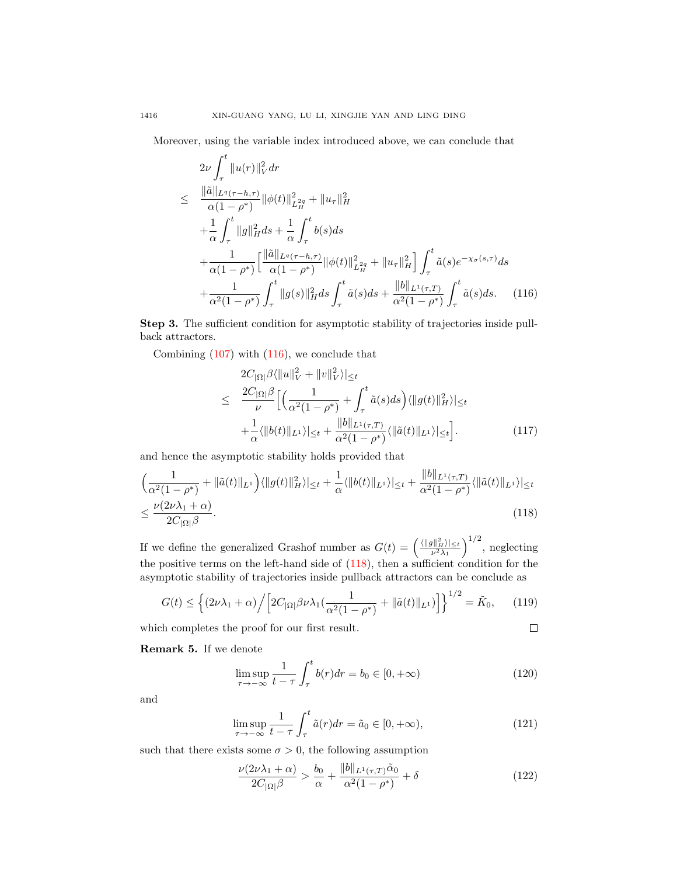Moreover, using the variable index introduced above, we can conclude that

<span id="page-21-0"></span>
$$
2\nu \int_{\tau}^{t} \|u(r)\|_{V}^{2} dr
$$
\n
$$
\leq \frac{\|\tilde{a}\|_{L^{q}(\tau-h,\tau)}}{\alpha(1-\rho^{*})} \|\phi(t)\|_{L^{2q}_{H}}^{2} + \|u_{\tau}\|_{H}^{2}
$$
\n
$$
+ \frac{1}{\alpha} \int_{\tau}^{t} \|g\|_{H}^{2} ds + \frac{1}{\alpha} \int_{\tau}^{t} b(s) ds
$$
\n
$$
+ \frac{1}{\alpha(1-\rho^{*})} \Big[ \frac{\|\tilde{a}\|_{L^{q}(\tau-h,\tau)}}{\alpha(1-\rho^{*})} \|\phi(t)\|_{L^{2q}_{H}}^{2} + \|u_{\tau}\|_{H}^{2} \Big] \int_{\tau}^{t} \tilde{a}(s) e^{-\chi_{\sigma}(s,\tau)} ds
$$
\n
$$
+ \frac{1}{\alpha^{2}(1-\rho^{*})} \int_{\tau}^{t} \|g(s)\|_{H}^{2} ds \int_{\tau}^{t} \tilde{a}(s) ds + \frac{\|b\|_{L^{1}(\tau,T)}}{\alpha^{2}(1-\rho^{*})} \int_{\tau}^{t} \tilde{a}(s) ds. \quad (116)
$$

Step 3. The sufficient condition for asymptotic stability of trajectories inside pullback attractors.

Combining [\(107\)](#page-19-2) with [\(116\)](#page-21-0), we conclude that

$$
2C_{|\Omega|}\beta\langle\|u\|_{V}^{2} + \|v\|_{V}^{2}\rangle|_{\leq t}
$$
  
\n
$$
\leq \frac{2C_{|\Omega|}\beta}{\nu} \Big[ \Big(\frac{1}{\alpha^{2}(1-\rho^{*})} + \int_{\tau}^{t} \tilde{a}(s)ds\Big) \langle\|g(t)\|_{H}^{2}\rangle\|_{\leq t}
$$
  
\n
$$
+ \frac{1}{\alpha} \langle\|b(t)\|_{L^{1}}\rangle|_{\leq t} + \frac{\|b\|_{L^{1}(\tau,T)}}{\alpha^{2}(1-\rho^{*})} \langle\|\tilde{a}(t)\|_{L^{1}}\rangle|_{\leq t} \Big].
$$
\n(117)

and hence the asymptotic stability holds provided that

<span id="page-21-1"></span>
$$
\left(\frac{1}{\alpha^2(1-\rho^*)} + \|\tilde{a}(t)\|_{L^1}\right) \langle \|g(t)\|_{H}^2 \rangle|_{\leq t} + \frac{1}{\alpha} \langle \|b(t)\|_{L^1} \rangle|_{\leq t} + \frac{\|b\|_{L^1(\tau,T)}}{\alpha^2(1-\rho^*)} \langle \|\tilde{a}(t)\|_{L^1} \rangle|_{\leq t} \leq \frac{\nu(2\nu\lambda_1+\alpha)}{2C_{|\Omega|}\beta}.
$$
\n(118)

If we define the generalized Grashof number as  $G(t) = \left(\frac{\langle ||g||_H^2 \rangle_{\leq t}}{\nu^2 \lambda_1}\right)^{1/2}$ , neglecting the positive terms on the left-hand side of [\(118\)](#page-21-1), then a sufficient condition for the asymptotic stability of trajectories inside pullback attractors can be conclude as

<span id="page-21-2"></span>
$$
G(t) \le \left\{ (2\nu\lambda_1 + \alpha) \Big/ \Big[ 2C_{|\Omega|} \beta \nu \lambda_1 \big( \frac{1}{\alpha^2 (1 - \rho^*)} + \| \tilde{a}(t) \|_{L^1} \big) \Big] \right\}^{1/2} = \tilde{K}_0, \qquad (119)
$$

which completes the proof for our first result.

$$
\Box
$$

Remark 5. If we denote

$$
\limsup_{\tau \to -\infty} \frac{1}{t - \tau} \int_{\tau}^{t} b(r) dr = b_0 \in [0, +\infty)
$$
\n(120)

and

$$
\limsup_{\tau \to -\infty} \frac{1}{t - \tau} \int_{\tau}^{t} \tilde{a}(r) dr = \tilde{a}_0 \in [0, +\infty), \tag{121}
$$

such that there exists some  $\sigma > 0$ , the following assumption

$$
\frac{\nu(2\nu\lambda_1 + \alpha)}{2C_{|\Omega|}\beta} > \frac{b_0}{\alpha} + \frac{\|b\|_{L^1(\tau, T)}\tilde{\alpha}_0}{\alpha^2(1 - \rho^*)} + \delta
$$
\n(122)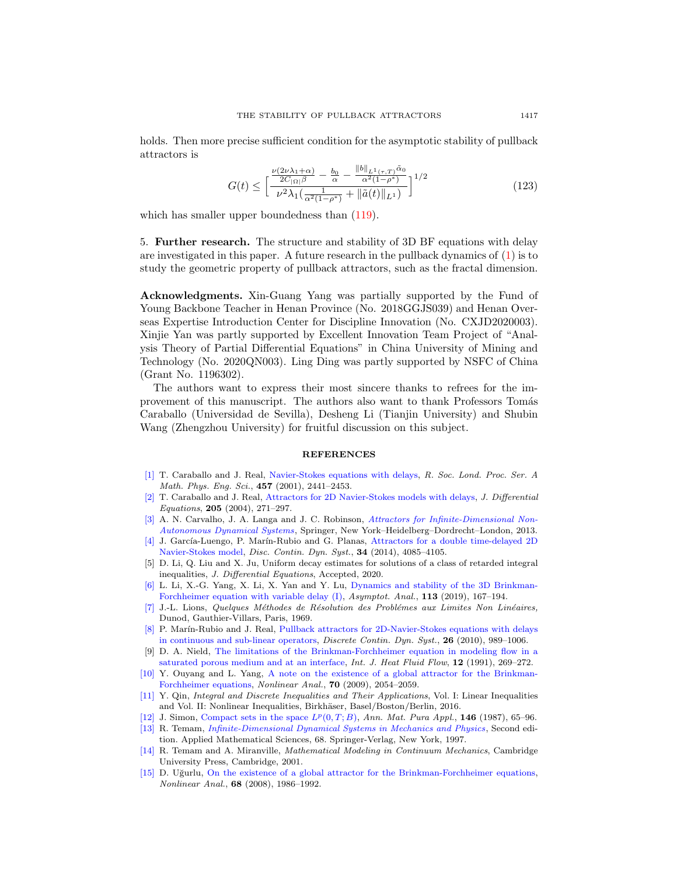holds. Then more precise sufficient condition for the asymptotic stability of pullback attractors is

$$
G(t) \le \left[ \frac{\frac{\nu(2\nu\lambda_1 + \alpha)}{2C_{|\Omega|}\beta} - \frac{b_0}{\alpha} - \frac{\|b\|_{L^1(\tau, T)}\tilde{\alpha}_0}{\alpha^2(1 - \rho^*)}}{\nu^2 \lambda_1 \left(\frac{1}{\alpha^2(1 - \rho^*)} + \|\tilde{a}(t)\|_{L^1}\right)} \right]^{1/2} \tag{123}
$$

which has smaller upper boundedness than  $(119)$ .

5. Further research. The structure and stability of 3D BF equations with delay are investigated in this paper. A future research in the pullback dynamics of  $(1)$  is to study the geometric property of pullback attractors, such as the fractal dimension.

Acknowledgments. Xin-Guang Yang was partially supported by the Fund of Young Backbone Teacher in Henan Province (No. 2018GGJS039) and Henan Overseas Expertise Introduction Center for Discipline Innovation (No. CXJD2020003). Xinjie Yan was partly supported by Excellent Innovation Team Project of "Analysis Theory of Partial Differential Equations" in China University of Mining and Technology (No. 2020QN003). Ling Ding was partly supported by NSFC of China (Grant No. 1196302).

The authors want to express their most sincere thanks to refrees for the improvement of this manuscript. The authors also want to thank Professors Tomás Caraballo (Universidad de Sevilla), Desheng Li (Tianjin University) and Shubin Wang (Zhengzhou University) for fruitful discussion on this subject.

#### REFERENCES

- <span id="page-22-0"></span>[\[1\]](http://www.ams.org/mathscinet-getitem?mr=MR1862662&return=pdf) T. Caraballo and J. Real, [Navier-Stokes equations with delays,](http://dx.doi.org/10.1098/rspa.2001.0807) R. Soc. Lond. Proc. Ser. A Math. Phys. Eng. Sci., 457 (2001), 2441–2453.
- <span id="page-22-1"></span>[\[2\]](http://www.ams.org/mathscinet-getitem?mr=MR2091818&return=pdf) T. Caraballo and J. Real, [Attractors for 2D Navier-Stokes models with delays,](http://dx.doi.org/10.1016/j.jde.2004.04.012) J. Differential Equations, 205 (2004), 271–297.
- <span id="page-22-8"></span>[\[3\]](http://www.ams.org/mathscinet-getitem?mr=MR2976449&return=pdf) A. N. Carvalho, J. A. Langa and J. C. Robinson, *[Attractors for Infinite-Dimensional Non-](http://dx.doi.org/10.1007/978-1-4614-4581-4)*[Autonomous Dynamical Systems](http://dx.doi.org/10.1007/978-1-4614-4581-4), Springer, New York–Heidelberg–Dordrecht–London, 2013.
- <span id="page-22-14"></span>[\[4\]](http://www.ams.org/mathscinet-getitem?mr=MR3195360&return=pdf) J. García-Luengo, P. Marín-Rubio and G. Planas, [Attractors for a double time-delayed 2D](http://dx.doi.org/10.3934/dcds.2014.34.4085) [Navier-Stokes model,](http://dx.doi.org/10.3934/dcds.2014.34.4085) Disc. Contin. Dyn. Syst., 34 (2014), 4085–4105.
- <span id="page-22-10"></span>[5] D. Li, Q. Liu and X. Ju, Uniform decay estimates for solutions of a class of retarded integral inequalities, J. Differential Equations, Accepted, 2020.
- <span id="page-22-3"></span>[\[6\]](http://www.ams.org/mathscinet-getitem?mr=MR3962512&return=pdf) L. Li, X.-G. Yang, X. Li, X. Yan and Y. Lu, [Dynamics and stability of the 3D Brinkman-](http://dx.doi.org/10.3233/ASY-181512)[Forchheimer equation with variable delay \(I\),](http://dx.doi.org/10.3233/ASY-181512) Asymptot. Anal., 113 (2019), 167–194.
- <span id="page-22-11"></span>[\[7\]](http://www.ams.org/mathscinet-getitem?mr=MR0259693&return=pdf) J.-L. Lions, Quelques Méthodes de Résolution des Problémes aux Limites Non Linéaires, Dunod, Gauthier-Villars, Paris, 1969.
- <span id="page-22-2"></span>[\[8\]](http://www.ams.org/mathscinet-getitem?mr=MR2600726&return=pdf) P. Marín-Rubio and J. Real, [Pullback attractors for 2D-Navier-Stokes equations with delays](http://dx.doi.org/10.3934/dcds.2010.26.989) [in continuous and sub-linear operators,](http://dx.doi.org/10.3934/dcds.2010.26.989) Discrete Contin. Dyn. Syst., 26 (2010), 989–1006.
- <span id="page-22-5"></span>[9] D. A. Nield, [The limitations of the Brinkman-Forchheimer equation in modeling flow in a](http://dx.doi.org/10.1016/0142-727X(91)90062-Z) [saturated porous medium and at an interface,](http://dx.doi.org/10.1016/0142-727X(91)90062-Z) Int. J. Heat Fluid Flow, 12 (1991), 269-272.
- <span id="page-22-6"></span>[\[10\]](http://www.ams.org/mathscinet-getitem?mr=MR2492141&return=pdf) Y. Ouyang and L. Yang, [A note on the existence of a global attractor for the Brinkman-](http://dx.doi.org/10.1016/j.na.2008.02.121)[Forchheimer equations,](http://dx.doi.org/10.1016/j.na.2008.02.121) Nonlinear Anal., 70 (2009), 2054–2059.
- <span id="page-22-12"></span>[\[11\]](http://www.ams.org/mathscinet-getitem?mr=MR3526306&return=pdf) Y. Qin, Integral and Discrete Inequalities and Their Applications, Vol. I: Linear Inequalities and Vol. II: Nonlinear Inequalities, Birkhäser, Basel/Boston/Berlin, 2016.
- <span id="page-22-13"></span>[\[12\]](http://www.ams.org/mathscinet-getitem?mr=MR916688&return=pdf) J. Simon, [Compact sets in the space](http://dx.doi.org/10.1007/BF01762360)  $L^p(0,T;B)$ , Ann. Mat. Pura Appl., 146 (1987), 65–96.
- <span id="page-22-9"></span>[\[13\]](http://www.ams.org/mathscinet-getitem?mr=MR1441312&return=pdf) R. Temam, [Infinite-Dimensional Dynamical Systems in Mechanics and Physics](http://dx.doi.org/10.1007/978-1-4612-0645-3) , Second edition. Applied Mathematical Sciences, 68. Springer-Verlag, New York, 1997.
- <span id="page-22-4"></span>[\[14\]](http://www.ams.org/mathscinet-getitem?mr=MR1800941&return=pdf) R. Temam and A. Miranville, Mathematical Modeling in Continuum Mechanics, Cambridge University Press, Cambridge, 2001.
- <span id="page-22-7"></span>[\[15\]](http://www.ams.org/mathscinet-getitem?mr=MR2388758&return=pdf) D. Uğurlu, [On the existence of a global attractor for the Brinkman-Forchheimer equations,](http://dx.doi.org/10.1016/j.na.2007.01.025) Nonlinear Anal., 68 (2008), 1986–1992.